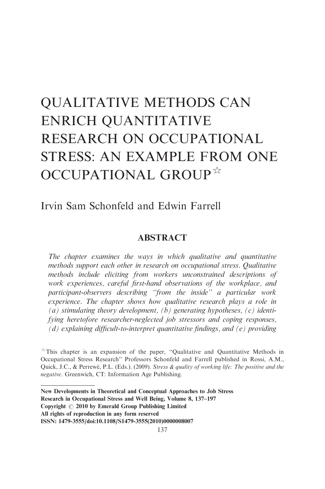# QUALITATIVE METHODS CAN ENRICH QUANTITATIVE RESEARCH ON OCCUPATIONAL STRESS: AN EXAMPLE FROM ONE OCCUPATIONAL GROUP $\overline{X}$

Irvin Sam Schonfeld and Edwin Farrell

# ABSTRACT

The chapter examines the ways in which qualitative and quantitative methods support each other in research on occupational stress. Qualitative methods include eliciting from workers unconstrained descriptions of work experiences, careful first-hand observations of the workplace, and participant-observers describing ''from the inside'' a particular work experience. The chapter shows how qualitative research plays a role in (a) stimulating theory development,  $(b)$  generating hypotheses,  $(c)$  identifying heretofore researcher-neglected job stressors and coping responses,  $(d)$  explaining difficult-to-interpret quantitative findings, and  $(e)$  providing

 $*$ This chapter is an expansion of the paper, "Qualitative and Quantitative Methods in Occupational Stress Research'' Professors Schonfeld and Farrell published in Rossi, A.M., Quick, J.C., & Perrewé, P.L. (Eds.). (2009). Stress & quality of working life: The positive and the negative. Greenwich, CT: Information Age Publishing.

New Developments in Theoretical and Conceptual Approaches to Job Stress Research in Occupational Stress and Well Being, Volume 8, 137–197 Copyright  $\odot$  2010 by Emerald Group Publishing Limited All rights of reproduction in any form reserved ISSN: 1479-3555/doi:10.1108/S1479-3555(2010)0000008007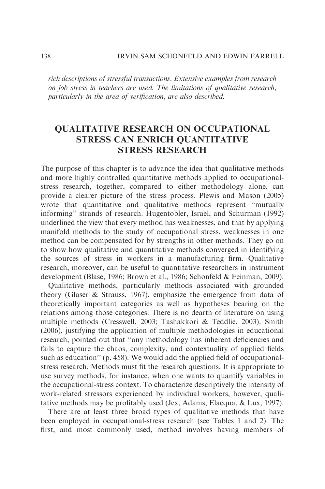rich descriptions of stressful transactions. Extensive examples from research on job stress in teachers are used. The limitations of qualitative research, particularly in the area of verification, are also described.

# QUALITATIVE RESEARCH ON OCCUPATIONAL STRESS CAN ENRICH QUANTITATIVE STRESS RESEARCH

The purpose of this chapter is to advance the idea that qualitative methods and more highly controlled quantitative methods applied to occupationalstress research, together, compared to either methodology alone, can provide a clearer picture of the stress process. Plewis and Mason (2005) wrote that quantitative and qualitative methods represent ''mutually informing'' strands of research. Hugentobler, Israel, and Schurman (1992) underlined the view that every method has weaknesses, and that by applying manifold methods to the study of occupational stress, weaknesses in one method can be compensated for by strengths in other methods. They go on to show how qualitative and quantitative methods converged in identifying the sources of stress in workers in a manufacturing firm. Qualitative research, moreover, can be useful to quantitative researchers in instrument development (Blase, 1986; Brown et al., 1986; Schonfeld & Feinman, 2009).

Qualitative methods, particularly methods associated with grounded theory (Glaser & Strauss, 1967), emphasize the emergence from data of theoretically important categories as well as hypotheses bearing on the relations among those categories. There is no dearth of literature on using multiple methods (Cresswell, 2003; Tashakkori & Teddlie, 2003). Smith (2006), justifying the application of multiple methodologies in educational research, pointed out that ''any methodology has inherent deficiencies and fails to capture the chaos, complexity, and contextuality of applied fields such as education'' (p. 458). We would add the applied field of occupationalstress research. Methods must fit the research questions. It is appropriate to use survey methods, for instance, when one wants to quantify variables in the occupational-stress context. To characterize descriptively the intensity of work-related stressors experienced by individual workers, however, qualitative methods may be profitably used (Jex, Adams, Elacqua, & Lux, 1997).

There are at least three broad types of qualitative methods that have been employed in occupational-stress research (see Tables 1 and 2). The first, and most commonly used, method involves having members of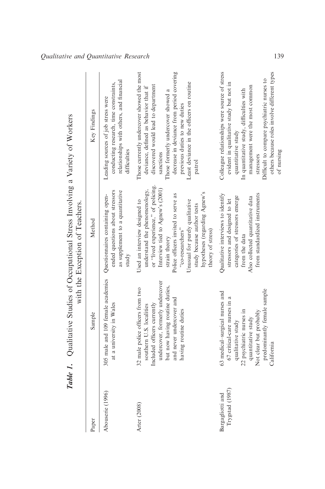|                                     | The 1. Administrative in the contract of the contract of the contract of the contract of the contract of the contract of the contract of the contract of the contract of the contract of the contract of the contract of the c | with the Exception of Teachers.                                                                                                                                                                                                                                                                                                             |                                                                                                                                                                                                                                                                                                                        |
|-------------------------------------|--------------------------------------------------------------------------------------------------------------------------------------------------------------------------------------------------------------------------------|---------------------------------------------------------------------------------------------------------------------------------------------------------------------------------------------------------------------------------------------------------------------------------------------------------------------------------------------|------------------------------------------------------------------------------------------------------------------------------------------------------------------------------------------------------------------------------------------------------------------------------------------------------------------------|
| Paper                               | Sample                                                                                                                                                                                                                         | Method                                                                                                                                                                                                                                                                                                                                      | Key Findings                                                                                                                                                                                                                                                                                                           |
| Abouserie (1996)                    | 305 male and 109 female academics Questionnaires containing open-<br>at a university in Wales                                                                                                                                  | ended questions about stressors<br>as supplement to a quantitative<br>study                                                                                                                                                                                                                                                                 | relationships with others, and financial<br>conducting research, time constraints,<br>Leading sources of job stress were<br>difficulties                                                                                                                                                                               |
| Arter (2008)                        | undercover, formerly undercover<br>but now having routine duties,<br>32 male police officers from two<br>and never undercover and<br>Included officers currently<br>southern U.S. localities<br>having routine duties          | or "lived experience," of policing.<br>Interview tied to Agnew's (2001)<br>understand the phenomenology,<br>hypotheses (regarding Agnew's<br>Police officers invited to serve as<br>Used an interview designed to<br>Unusual for purely qualitative<br>study because author tests<br>"co-researchers"<br>theory of stress)<br>strain theory | decrease in deviance from period covering<br>Those currently undercover showed the most<br>Least deviance in the officers on routine<br>discovered would lead to department<br>deviance, defined as behavior that if<br>Those formerly undercover showed a<br>previous duties to new duties<br>sanctions<br>patrol     |
| Trygstad (1987)<br>Bargagliotti and | predominantly female sample<br>63 medical-surgical nurses and<br>67 critical-care nurses in a<br>22 psychiatric nurses in<br>Not clear but probably<br>quantitative study<br>qualitative study<br>California                   | from standardized instruments<br>Qualitative interviews to identify<br>categories of stressors emerge<br>Also collected quantitative data<br>stressors and designed to let<br>from the data                                                                                                                                                 | Colleague relationships were source of stress<br>others because roles involve different types<br>Difficult to compare psychiatric nurses to<br>evident in qualitative study but not in<br>management were the most common<br>In quantitative study, difficulties with<br>quantitative study<br>of nursing<br>stressors |

**Table 1.** Onalitative Studies of Occupational Stress Involving a Variety of Workers Table 1. Qualitative Studies of Occupational Stress Involving a Variety of Workers

# Qualitative and Quantitative Research 139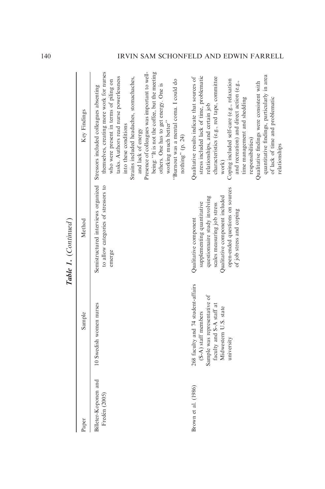| Paper                                 | Sample                                                                                                                                                       | Method                                                                                                                                                                                                               | Key Findings                                                                                                                                                                                                                                                                                                                                                                                                                                                                                                                               |
|---------------------------------------|--------------------------------------------------------------------------------------------------------------------------------------------------------------|----------------------------------------------------------------------------------------------------------------------------------------------------------------------------------------------------------------------|--------------------------------------------------------------------------------------------------------------------------------------------------------------------------------------------------------------------------------------------------------------------------------------------------------------------------------------------------------------------------------------------------------------------------------------------------------------------------------------------------------------------------------------------|
| Billeter-Koponen and<br>Fredén (2005) | 10 Swedish women nurses                                                                                                                                      | to allow categories of stressors to<br>emerge                                                                                                                                                                        | Presence of colleagues was important to well-<br>themselves, creating more work for nurses<br>being: "It is not the coffee, but the meeting<br>tasks. Authors read nurse powerlessness<br>Strains included headaches, stomachaches,<br>"Burnout was a mental coma. I could do<br>who were present in terms of piling on<br>others. One has to get energy. One is<br>Semistructured interviews organized Stressors included colleagues absenting<br>working much better"<br>into these conditions<br>and lack of energy<br>nothing" (p. 24) |
| Brown et al. (1986)                   | 268 faculty and 74 student-affairs<br>Sample was representative of<br>faculty and S-A staff at<br>Midwestern U.S. state<br>(S-A) staff members<br>university | open-ended questions on sources<br>questionnaire study involving<br>Qualitative component included<br>supplementing quantitative<br>scales measuring job stress<br>of job stress and coping<br>Qualitative component | quantitative findings, particularly in area<br>stress included lack of time, problematic<br>Qualitative results indicate that sources of<br>characteristics (e.g., red tape, committee<br>Coping included self-care (e.g., relaxation<br>and recreation) and direct action (e.g.,<br>Qualitative findings were consistent with<br>time management and shedding<br>of lack of time and problematic<br>relationships, and certain job<br>responsibilities)<br>relationships<br>work)                                                         |

Table 1. (Continued) Table 1. (Continued )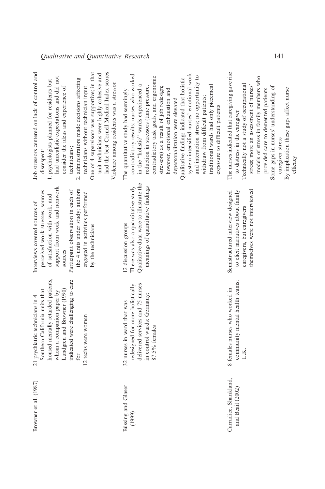| One of 4 supervisors was supportive; in that<br>had the best Cornell Medical Index scores<br>Job stressors centered on lack of control and<br>unit technicians were highly cohesive and<br>had unrealistic expectations and did not<br>2. administrators made decisions affecting<br>1. psychologists planned for residents but<br>Violence among residents was a stressor<br>technicians without technician input<br>consider the ideas and experience of<br>technicians;<br>disrespect: | system intensified nurses' emotional work<br>contradictory results: nurses who worked<br>and interaction stress; no opportunity to<br>contradictory task goals, and ergonomic<br>Qualitative findings indicated that holistic<br>in the "holistic" wards experienced a<br>traditional wards had only piecemeal<br>reduction in stressors (time pressure,<br>stressors) as a result of job redesign;<br>however, emotional exhaustion and<br>The quantitative study had seemingly<br>withdraw from difficult patients;<br>depersonalization were elevated<br>exposure to difficult patients | The nurses indicated that caregiving gave rise<br>models of stress in family members who<br>Technically not a study of occupational<br>stress; more an assessment of nurses'<br>Some gaps in nurses' understanding of<br>provided care to demented patients<br>By implication these gaps affect nurse<br>to distress in the caregiver<br>caregiver stress<br>efficacy |
|-------------------------------------------------------------------------------------------------------------------------------------------------------------------------------------------------------------------------------------------------------------------------------------------------------------------------------------------------------------------------------------------------------------------------------------------------------------------------------------------|--------------------------------------------------------------------------------------------------------------------------------------------------------------------------------------------------------------------------------------------------------------------------------------------------------------------------------------------------------------------------------------------------------------------------------------------------------------------------------------------------------------------------------------------------------------------------------------------|-----------------------------------------------------------------------------------------------------------------------------------------------------------------------------------------------------------------------------------------------------------------------------------------------------------------------------------------------------------------------|
| support from work and nonwork<br>the 4 units under study; authors<br>Participant observation in each of<br>perceived work stresses, sources<br>engaged in activities performed<br>of satisfaction with work, and<br>Interviews covered sources of<br>by the technicians<br>sources                                                                                                                                                                                                        | Qualitative data were to illustrate the<br>meanings of quantitative findings<br>There was also a quantitative study<br>12 discussion groups                                                                                                                                                                                                                                                                                                                                                                                                                                                | themselves were not interviewed<br>to elicit narratives about family<br>Semistructured interview designed<br>caregivers, but caregivers                                                                                                                                                                                                                               |
| housed mentally retarded patients,<br>indicated were challenging to care<br>Lundgren and Browner (1990)<br>Southern California units that<br>whom a companion paper by<br>21 psychiatric technicians in<br>12 techs were women<br>for                                                                                                                                                                                                                                                     | delivered services and 75 nurses<br>redesigned for more holistically<br>in control wards; Germany;<br>32 nurses in ward that was<br>87.5% females                                                                                                                                                                                                                                                                                                                                                                                                                                          | community mental health teams;<br>8 females nurses who worked in<br>U.K.                                                                                                                                                                                                                                                                                              |
| Browner et al. (1987)                                                                                                                                                                                                                                                                                                                                                                                                                                                                     | Büssing and Glaser<br>(1999)                                                                                                                                                                                                                                                                                                                                                                                                                                                                                                                                                               | Carradice, Shankland,<br>and Beail (2002)                                                                                                                                                                                                                                                                                                                             |

# Qualitative and Quantitative Research 141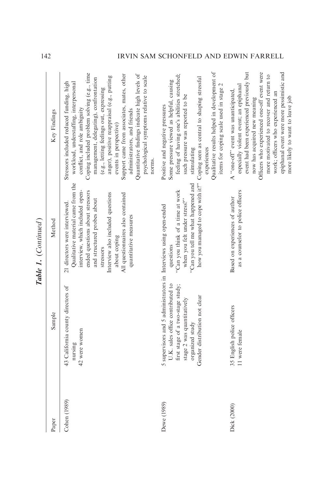|              |                                                                                                                                                                                                                              | where it ( Continued )                                                                                                                                                                                                                                                                                    |                                                                                                                                                                                                                                                                                                                                                                                                                                                                                                                     |
|--------------|------------------------------------------------------------------------------------------------------------------------------------------------------------------------------------------------------------------------------|-----------------------------------------------------------------------------------------------------------------------------------------------------------------------------------------------------------------------------------------------------------------------------------------------------------|---------------------------------------------------------------------------------------------------------------------------------------------------------------------------------------------------------------------------------------------------------------------------------------------------------------------------------------------------------------------------------------------------------------------------------------------------------------------------------------------------------------------|
| Paper        | Sample                                                                                                                                                                                                                       | Method                                                                                                                                                                                                                                                                                                    | Key Findings                                                                                                                                                                                                                                                                                                                                                                                                                                                                                                        |
| Cohen (1989) | 43 California county directors of<br>42 were women<br>nursing                                                                                                                                                                | Qualitative material came from the<br>interview, which included open-<br>ended questions about stressors<br>Interview also included questions<br>All questionnaires also contained<br>and structured probes about<br>21 directors were interviewed.<br>quantitative measures<br>about coping<br>stressors | Coping included problem solving (e.g., time<br>Support came from associates, mates, other<br>Quantitative findings indicate high levels of<br>anger), positive reappraisal (e.g., putting<br>psychological symptoms relative to scale<br>management, delegating), confrontation<br>Stressors included reduced funding, high<br>workload, understaffing, interpersonal<br>(e.g., letting feelings out, expressing<br>conflict, and role ambiguity<br>administrators, and friends<br>events in perspective)<br>norms. |
| Dewe (1989)  | 5 supervisors and 5 administrators in Interviews using open-ended<br>U.K. sales office contributed to<br>first stage of a two-stage study;<br>Gender distribution not clear<br>stage 2 was quantitatively<br>organized study | how you managed to cope with it?"<br>"Can you tell me what happened and<br>"Can you think of a time at work<br>when you felt under stress?"<br>questions                                                                                                                                                  | Qualitative results helped in development of<br>feeling of having one's abilities stretched;<br>Coping seen as central to shaping stressful<br>Some pressure viewed as helpful, causing<br>items for coping scale used in stage 2<br>such pressure was reported to be<br>Positive and negative pressures<br>experiences<br>stimulating                                                                                                                                                                              |
| Dick (2000)  | 35 English police officers<br>11 were female                                                                                                                                                                                 | as a counselor to police officers<br>Based on experiences of author                                                                                                                                                                                                                                       | event had been experienced previously but<br>epiphanal event were more pessimistic and<br>Officers who experienced one-off event were<br>more motivated to recover and return to<br>especially violent event; an epiphanal<br>A "one-off" event was unanticipated,<br>work; officers who experienced an<br>more likely to want to leave job<br>now has acquired new meaning                                                                                                                                         |

Table 1. (Continued) Table 1. (Continued )

#### 142 IRVIN SAM SCHONFELD AND EDWIN FARRELL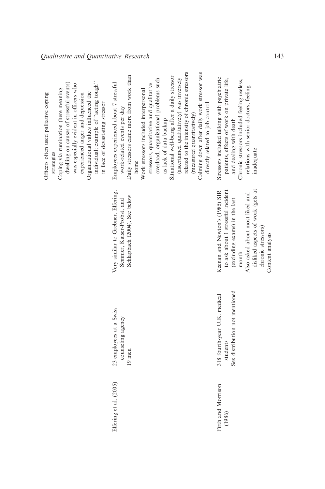|                              |                                                                            |                                                                                                                                                                                                                                 | individual; example of "acting tough"<br>dwelling on causes of stressful events)<br>was especially evident in officers who<br>Coping via rumination (here meaning<br>Organizational values influenced the<br>Officers often used palliative coping<br>experienced anger and depression<br>in face of devastating stressor<br>strategies                                                                                                                                                                                                         |
|------------------------------|----------------------------------------------------------------------------|---------------------------------------------------------------------------------------------------------------------------------------------------------------------------------------------------------------------------------|-------------------------------------------------------------------------------------------------------------------------------------------------------------------------------------------------------------------------------------------------------------------------------------------------------------------------------------------------------------------------------------------------------------------------------------------------------------------------------------------------------------------------------------------------|
| Elfering et al. (2005)       | 23 employees at a Swiss<br>counseling agency<br>19 men                     | Very similar to Grebner, Elfering,<br>Schlapbach (2004). See below<br>Semmer, Kaiser-Probst, and                                                                                                                                | related to the intensity of chronic stressors<br>Calming down after daily work stressor was<br>Daily stressors came more from work than<br>Situational well-being after a daily stressor<br>(ascertained qualitatively) was inversely<br>overload, organizational problems such<br>Employees experienced about 7 stressful<br>stressors, quantitative and qualitative<br>Work stressors included interpersonal<br>directly related to job control<br>work-related events per day<br>(measured quantitatively)<br>as lack of data backup<br>home |
| Firth and Morrison<br>(1986) | Sex distribution not mentioned<br>318 fourth-year U.K. medical<br>students | disliked aspects of work (gets at<br>to ask about 1 stressful incident<br>Keenan and Newton's (1985) SIR<br>Also asked about most liked and<br>(excluding exams) in the last<br>chronic stressors)<br>Content analysis<br>month | Stressors included talking with psychiatric<br>patients, effects of work on private life,<br>Chronic stressors included feeling useless,<br>relations with senior doctors, feeling<br>and dealing with death<br>inadequate                                                                                                                                                                                                                                                                                                                      |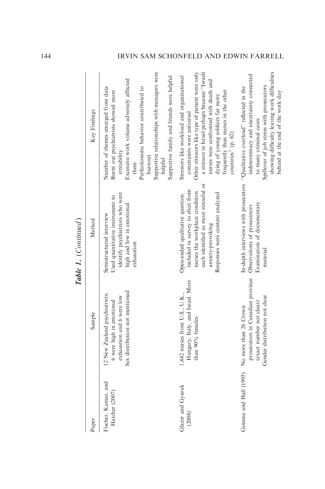|                                             |                                                                                                                          | $\mathcal{L}$                                                                                                                                                                                          |                                                                                                                                                                                                                                                                                                                       |
|---------------------------------------------|--------------------------------------------------------------------------------------------------------------------------|--------------------------------------------------------------------------------------------------------------------------------------------------------------------------------------------------------|-----------------------------------------------------------------------------------------------------------------------------------------------------------------------------------------------------------------------------------------------------------------------------------------------------------------------|
| Paper                                       | Sample                                                                                                                   | Method                                                                                                                                                                                                 | Key Findings                                                                                                                                                                                                                                                                                                          |
| Fischer, Kumar, and<br>Hatcher (2007)       | Sex distribution not mentioned<br>12 New Zealand psychiatrists;<br>exhaustion and 6 were low<br>6 were high in emotional | identify psychiatrists who were<br>Used quantitative instrument to<br>high and low in emotional<br>Semistructured interview<br>exhaustion                                                              | Supportive relationships with managers were<br>Supportive family and friends were helpful<br>Excessive work volume adversely affected<br>Perfectionistic behavior contributed to<br>Number of themes emerged from data<br>Burnt out psychiatrists showed more<br>irritability<br>burnout<br>helpful<br>them           |
| Glazer and Gyurak<br>(2008)                 | Hungary, Italy, and Israel. More<br>1,442 nurses from $U.S., U.K.,$<br>than 90% females                                  | each identified as most stressful or<br>included in survey to elicit from<br>nurses the workplace condition<br>Responses were content analyzed<br>Open-ended qualitative question<br>anxiety-provoking | Other stressors like type of patient were only<br>a stressor in Israel perhaps because "Israeli<br>Stressors like workload and organizational<br>nurses were confronted with death and<br>frequently than nurses in the other<br>dying of young soldiers far more<br>constraints were universal<br>countries" (p. 62) |
| Gomme and Hall (1995) No more than 26 Crown | prosecutors in Canadian province<br>Gender distribution not clear<br>(exact number not clear)                            | Examination of documentary<br>Observations of prosecutors<br>material                                                                                                                                  | showing difficulty leaving work difficulties<br>indeterminacy and uncertainty connected<br>Spillover of job stress with prosecutors<br>In-depth interviews with prosecutors "Qualitative overload" reflected in the<br>behind at the end of the work day<br>to many criminal cases                                    |

Table 1. (Continued) Table 1. (Continued )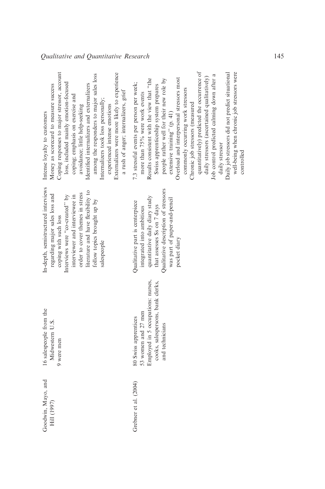| Goodwin, Mayo, and | 16 salespeople from the | In-depth, semistructured interviews | Intens        |
|--------------------|-------------------------|-------------------------------------|---------------|
| Hill (1997)        | Midwestern U.S.         | regarding major sales loss and      | Mone          |
|                    | 9 were men              | coping with such loss               | Copin         |
|                    |                         | Interviews were "co-created" by     | loss          |
|                    |                         | interviewer and interviewee in      | cop           |
|                    |                         | order to cover themes in stress     | avo:          |
|                    |                         | literature and have flexibility to  | Identi        |
|                    |                         | follow topics brought up by         | am            |
|                    |                         | salespeople                         | Intern        |
|                    |                         |                                     | exp<br>Extern |
|                    |                         |                                     |               |
|                    |                         |                                     | a ru          |
|                    |                         |                                     |               |

Employed in 5 occupations: nurses, Employed in 5 occupations: nurses, 53 women and 27 men 53 women and 27 men 80 Swiss apprentices Grebner et al. (2004) 80 Swiss apprentices Grebner et al. (2004)

Qualitative description of stressors Qualitative description of stressors quantitative daily diary study quantitative daily diary study was part of paper-and-pencil was part of paper-and-pencil Qualitative part is centerpiece Qualitative part is centerpiece that assesses Ss on 7 days integrated into ambitious that assesses Ss on 7 days integrated into ambitious pocket diary pocket diary

cooks, salespersons, bank clerks,

cooks, salespersons, bank clerks,

and technicians

and technicians

g responses to major stressor, account nalizers were more likely to experience quantitatively) predicted the occurrence of quantitatively) predicted the occurrence of Daily job stressors did not predict situational Coping responses to major stressor, account ing the responders to major sales loss Externalizers were more likely to experience ob control predicted calming down after a Daily job stressors did not predict situational among the responders to major sales loss daily stressors (ascertained qualitatively) Job control predicted calming down after a daily stressors (ascertained qualitatively) people rather well for their new role by Overload and interpersonal stressors most Overload and interpersonal stressors most Results consistent with the view that "the Results consistent with the view that ''the people rather well for their new role by included mainly emotion-focused ied internalizers and externalizers 7.3 stressful events per person per week; as scorecard to measure success loss, included mainly emotion-focused 7.3 stressful events per person per week; Identified internalizers and externalizers Swiss apprenticeship system prepares Money as scorecard to measure success Swiss apprenticeship system prepares commonly occurring work stressors commonly occurring work stressors sh of anger; internalizers, grief a rush of anger; internalizers, grief more than 75% were work events more than 75% were work events ng; emphasis on exercise and coping; emphasis on exercise and alizers took loss personally; Internalizers took loss personally; Chronic job stressors (measured dance; little help-seeking Chronic job stressors (measured rrienced intense emotions experienced intense emotions avoidance; little help-seeking extensive training" (p. 41) e loyalty to customers extensive training'' (p. 41) Intense loyalty to customers daily stressor daily stressor

#### Qualitative and Quantitative Research 145

well-being when chronic job stressors were

well-being when chronic job stressors were

controlled

controlled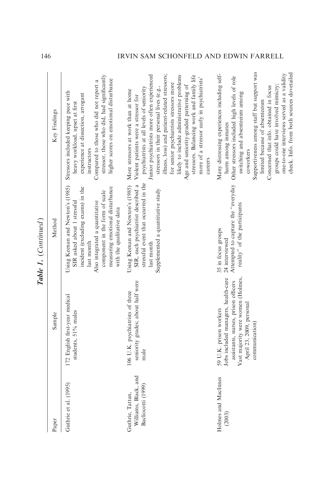|                                                                |                                                                                                                                                                                        | <b>Table 1.</b> (Continued)                                                                                                                                                                                                                            |                                                                                                                                                                                                                                                                                                                                                                                                                                                                                                             |
|----------------------------------------------------------------|----------------------------------------------------------------------------------------------------------------------------------------------------------------------------------------|--------------------------------------------------------------------------------------------------------------------------------------------------------------------------------------------------------------------------------------------------------|-------------------------------------------------------------------------------------------------------------------------------------------------------------------------------------------------------------------------------------------------------------------------------------------------------------------------------------------------------------------------------------------------------------------------------------------------------------------------------------------------------------|
| Paper                                                          | Sample                                                                                                                                                                                 | Method                                                                                                                                                                                                                                                 | Key Findings                                                                                                                                                                                                                                                                                                                                                                                                                                                                                                |
| Guthrie et al. (1995)                                          | 172 English first-year medical<br>students, 51% males                                                                                                                                  | Using Keenan and Newton's (1985)<br>incident (excluding exams) in the<br>measuring emotional disturbance<br>component in the form of scale<br>Also integrated a quantitative<br>SIR asked about 1 stressful<br>with the qualitative data<br>last month | stressor, those who did, had significantly<br>higher scores on emotional disturbance<br>Compared to those who did not report a<br>Stressors included keeping pace with<br>experience at dissection, arrogant<br>heavy workload, upset at first<br>instructors                                                                                                                                                                                                                                               |
| Williams, Black, and<br>Bacliocotti (1999)<br>Guthrie, Tattan, | seniority grades; about half were<br>106 U.K. psychiatrists of three<br>male                                                                                                           | stressful event that occurred in the<br>SIR, each psychiatrist described a<br>Using Keenan and Newton's (1985)<br>Supplemented a quantitative study<br>last month                                                                                      | illness, loss) and patient-related stressors;<br>Junior psychiatrists more often experienced<br>likely to include administrative problems<br>stressors. Balancing work and family life<br>more of a stressor early in psychiatrists'<br>for senior psychiatrists stressors more<br>Age and seniority-graded patterning of<br>psychiatrists at all levels of seniority<br>stressors in their personal lives (e.g.,<br>More stressors at work than at home<br>Violent patients were a stressor for<br>careers |
| Holmes and MacInnes<br>(2003)                                  | Jobs included managers, health-care<br>Vast majority were women (Holmes,<br>assistants, nurses, prison officers<br>April 23, 2009, personal<br>59 U.K. prison workers<br>communication | Attempted to capture the "everyday<br>reality" of the participants<br>35 in focus groups<br>24 interviewed                                                                                                                                             | Supportiveness among staff but support was<br>check. Info. from both sources dovetailed<br>Many distressing experiences including self-<br>one-to-one interviews served as a validity<br>Other stressors included high levels of role<br>groups could have involved mimicry;<br>Concerned that info. obtained in focus<br>switching and absenteeism among<br>limited because of absenteeism<br>harm among inmates<br>coworkers                                                                              |

#### 146 IRVIN SAM SCHONFELD AND EDWIN FARRELL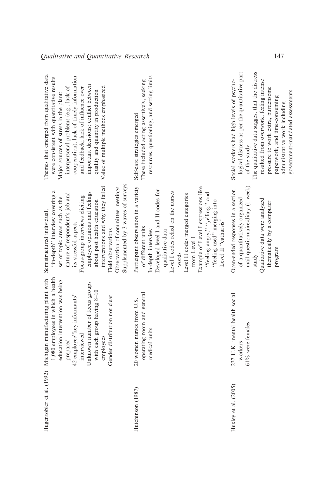| Themes that emerged from qualitative data<br>cooperation); lack of timely information<br>were consistent with quantitative results<br>important decisions; conflict between<br>interpersonal problems (e.g., lack of<br>Value of multiple methods emphasized<br>and feedback; lack of influence over<br>quality and quantity in production<br>Major sources of stress in the plant:                              | resources, questioning, and setting limits<br>These included acting assertively, seeking<br>Self-care strategies emerged                                                                                                                                                                                                                                                       | logical distress as per the quantitative part<br>The qualitative data suggest that the distress<br>Social workers had high levels of psycho-<br>resulted from overwork, feeling intense<br>pressure to work extra, burdensome<br>government-mandated assessments<br>paperwork, and time-consuming<br>administrative work including<br>of the study |
|------------------------------------------------------------------------------------------------------------------------------------------------------------------------------------------------------------------------------------------------------------------------------------------------------------------------------------------------------------------------------------------------------------------|--------------------------------------------------------------------------------------------------------------------------------------------------------------------------------------------------------------------------------------------------------------------------------------------------------------------------------------------------------------------------------|----------------------------------------------------------------------------------------------------------------------------------------------------------------------------------------------------------------------------------------------------------------------------------------------------------------------------------------------------|
| Supplemented by 3 waves of surveys<br>interventions and why they failed<br>Observation of committee meetings<br>$\approx$<br>employee opinions and feelings<br>nature of respondent's job and<br>"in-depth" interview covering<br>Focus-group interviews eliciting<br>set of topic areas such as the<br>about past health education<br>Semistructured individual,<br>its stressful aspects<br>Field observations | Example of Level I expressions like<br>Participant observation in a variety<br>Developed level I and II codes for<br>Level I codes relied on the nurses<br>"feeling angry," 'yelling," and<br>Level II codes merged categories<br>"feeling used" merging into<br>Level II "catharsis"<br>of different units<br>In-depth interview<br>qualitative data<br>from Level I<br>words | mail questionnaire/diary (1 week)<br>Open-ended responses in a section<br>of a quantitatively organized<br>Qualitative data were analyzed<br>thematically by a computer<br>program<br>study                                                                                                                                                        |
| 1,080 employees in which a health<br>Hugentobler et al. (1992) Michigan manufacturing plant with<br>education intervention was being<br>Unknown number of focus groups<br>with each group having 8-10<br>42 employee" key informants"<br>Gender distribution not clear<br>interviewed<br>employees<br>prepared                                                                                                   | operating room and general<br>20 women nurses from U.S.<br>medical units                                                                                                                                                                                                                                                                                                       | 237 U.K. mental health social<br>61% were females<br>workers                                                                                                                                                                                                                                                                                       |
|                                                                                                                                                                                                                                                                                                                                                                                                                  | Hutchinson (1987)                                                                                                                                                                                                                                                                                                                                                              | Huxley et al. (2005)                                                                                                                                                                                                                                                                                                                               |

# Qualitative and Quantitative Research 147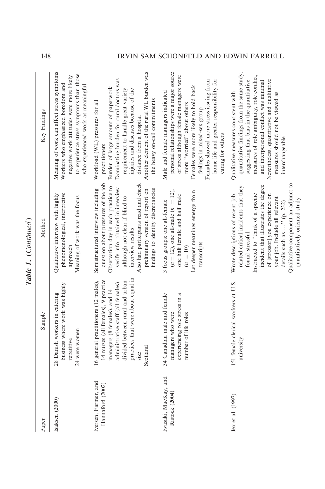| Paper                                    | Sample                                                                                                                                                                                                                                         | Method                                                                                                                                                                                                                                                                                                                                                | Key Findings                                                                                                                                                                                                                                                                                                                                   |
|------------------------------------------|------------------------------------------------------------------------------------------------------------------------------------------------------------------------------------------------------------------------------------------------|-------------------------------------------------------------------------------------------------------------------------------------------------------------------------------------------------------------------------------------------------------------------------------------------------------------------------------------------------------|------------------------------------------------------------------------------------------------------------------------------------------------------------------------------------------------------------------------------------------------------------------------------------------------------------------------------------------------|
| Isaksen (2000)                           | business where work was highly<br>28 Danish workers in catering<br>24 were women<br>repetitive                                                                                                                                                 | phenomenological, interpretive<br>Qualitative interview with highly<br>Meaning of work was the focus<br>approach                                                                                                                                                                                                                                      | Meaning of work can affect stress symptoms<br>to experience stress symptoms than those<br>negative work attitudes were more likely<br>Workers who emphasized boredom and<br>who experienced work as meaningful                                                                                                                                 |
| Iversen, Farmer, and<br>Hannaford (2002) | practices that were about equal in<br>14 nurses (all females), 9 practice<br>16 general practitioners (12 males),<br>divided between rural and urban<br>administrative staff (all females)<br>managers (8 females), and 14<br>Scotland<br>size | question about pressures of the job<br>Also had participants read and check<br>Observation day in each practice to<br>verify info. obtained in interview<br>Semistructured interview including<br>preliminary version of report on<br>findings to identify discrepancies<br>although not clear if blind to<br>interview results                       | Another element of the rural WL burden was<br>Dominating burden for rural doctors was<br>Burden of large amount of paperwork<br>injuries and diseases because of the<br>requirement to handle great variety<br>the heavy on-call commitments<br>Workload (WL) pressures for all<br>distance from a hospital<br>practitioners                   |
| Iwasaki, MacKay, and<br>Ristock (2004)   | experiencing role stress in a<br>34 Canadian male and female<br>managers who were<br>number of life roles                                                                                                                                      | $(n = 12)$ , one all-male $(n = 12)$ ,<br>Let deeper meanings emerge from<br>one half female and half male<br>3 focus groups: one all-female<br>transcripts<br>$(n = 10)$                                                                                                                                                                             | personal relationships were a major source<br>of stress although female managers were<br>home life and greater responsibility for<br>Females showed more stress issuing from<br>Females were more likely to hold back<br>Male and female managers indicated<br>more "worried" about others<br>feelings in mixed-sex group<br>caring for others |
| Jex et al. (1997)                        | .51 female clerical workers at U.S.<br>university                                                                                                                                                                                              | Qualitative component an adjunct to<br>incident that illustrates the degree<br>related critical incidents that they<br>Wrote descriptions of recent job-<br>Instructed to "think of a specific<br>of [stressor] you experience on<br>your job. Include all relevant<br>quantitatively oriented study<br>details such as " (p. 232)<br>found stressful | quantitative findings from the same study,<br>measures of role ambiguity, role conflict,<br>suggesting that bias in the quantitative<br>Nevertheless, quantitative and qualitative<br>and interpersonal conflict was minimal<br>Qualitative measures consistent with<br>measures should not be viewed as<br>interchangeable                    |

Table 1. (Continued) Table 1. (Continued )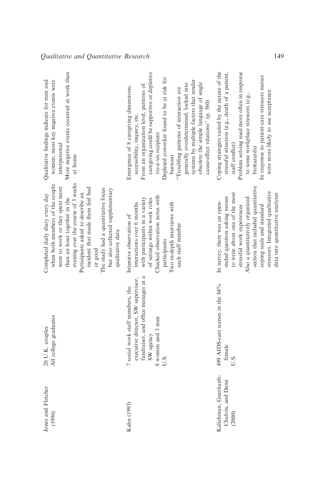| Jones and Fletcher<br>(1996)                          | All college graduates<br>20 U.K. couples                                                                                                                | evening over the course of 3 weeks<br>when both members of the couple<br>went to work or they spent more<br>incident that made them feel bad<br>The study had a quantitative focus<br>but also collected supplementary<br>Participants asked to describe an<br>Completed daily diary every day<br>than an hour together in the<br>qualitative data<br>or good | More negative events occurred at work than<br>Qualitative findings indicate for men and<br>women, most key negative events were<br>interpersonal<br>at home                                                                                                                                                                                                                                                                                                |
|-------------------------------------------------------|---------------------------------------------------------------------------------------------------------------------------------------------------------|---------------------------------------------------------------------------------------------------------------------------------------------------------------------------------------------------------------------------------------------------------------------------------------------------------------------------------------------------------------|------------------------------------------------------------------------------------------------------------------------------------------------------------------------------------------------------------------------------------------------------------------------------------------------------------------------------------------------------------------------------------------------------------------------------------------------------------|
| Kahn (1993)                                           | fundraiser, and office manager at a<br>executive director, SW supervisor,<br>7 social work staff members, the<br>8 women and 3 men<br>SW agency<br>U.S. | Checked observation notes with<br>with participants in a variety<br>of settings within work roles<br>Two in-depth interviews with<br>interactions over 6 months<br>Intensive observation of<br>each staff member<br>participants                                                                                                                              | caregiving could be supportive or depletive<br>Depleted coworker found to be at risk for<br>systems by multiple factors that render<br>obsolete the simple language of single<br>generally overdetermined, locked into<br>From an organization level, patterns of<br>Emergence of 8 caregiving dimensions:<br>"Troubling patterns of interaction are<br>cause-effect relations" (p. 560)<br>accessibility, inquiry, etc.<br>vis-à-vis recipient<br>burnout |
| Kalichman, Gueritault-<br>Chalvin, and Demi<br>(2000) | 499 AIDS-care nurses in the 84%<br>female<br>U.S.                                                                                                       | section that included quantitative<br>stressors. Integrated qualitative<br>to write about one of the most<br>data into quantitative analyses<br>ended question asking nurses<br>Also a quantitatively organized<br>In survey, there was an open-<br>coping scale and standard<br>stressful work experiences                                                   | Coping strategies varied by the nature of the<br>stressful situation (e.g., death of a patient,<br>Problem solving used more often in response<br>In response to patient-care stressors nurses<br>were more likely to use acceptance<br>to some workplace stressors (e.g.,<br>staff conflict)<br>biohazards)                                                                                                                                               |

# Qualitative and Quantitative Research 149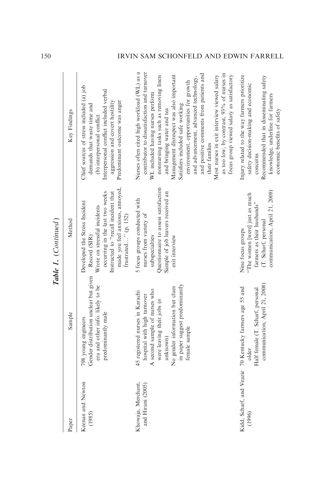| Paper                                   | Sample                                                                                                                                                                                                                             | Method                                                                                                                                                                                                             | Key Findings                                                                                                                                                                                                                                                                                                                                                                                                                                                                                                                                                                    |
|-----------------------------------------|------------------------------------------------------------------------------------------------------------------------------------------------------------------------------------------------------------------------------------|--------------------------------------------------------------------------------------------------------------------------------------------------------------------------------------------------------------------|---------------------------------------------------------------------------------------------------------------------------------------------------------------------------------------------------------------------------------------------------------------------------------------------------------------------------------------------------------------------------------------------------------------------------------------------------------------------------------------------------------------------------------------------------------------------------------|
| Keenan and Newton<br>(1985)             | Gender distribution unclear but given<br>era and other info. likely to be<br>predominantly male<br>798 young engineers                                                                                                             | made you feel anxious, annoyed,<br>Instructed to "recall incident that<br>occurring in the last two weeks<br>Developed the Stress Incident<br>Wrote on stressful incidents<br>frustrated" (p. 152)<br>Record (SIR) | Chief sources of stress included (a) job<br>Interpersonal conflict included verbal<br>Predominant outcome was anger<br>aggression and covert hostility<br>demands that waste time and<br>(b) interpersonal conflict                                                                                                                                                                                                                                                                                                                                                             |
| Khowaja, Merchant,<br>and Hirani (2005) | in paper suggest predominantly<br>No gender information but clues<br>A second sample of nurses who<br>45 registered nurses in Karachi<br>hospital with high turnover<br>were leaving their jobs $(n)$<br>female sample<br>unknown) | Questionnaire to assess satisfaction<br>Sample of job leavers received an<br>5 focus groups conducted with<br>nurses from variety of<br>subspecialties<br>exit interview                                           | Nurses often cited high workload (WL) as a<br>contributor to dissatisfaction and turnover<br>as too low; by contrast, 93% of nurses in<br>and positive comments from patients and<br>Management disrespect was also important<br>focus group viewed salary as satisfactory<br>Most nurses in exit interview viewed salary<br>nonnursing tasks such as removing linen<br>and advancement, advanced technology,<br>environment, opportunities for growth<br>WL included having nurses perform<br>Satisfiers included safe working<br>and bringing water and tea<br>their families |
| (1996)                                  | communication, April 21, 2008)<br>Kidd, Scharf, and Veazie 70 Kentucky farmers age 55 and<br>Half female (T. Scharf, personal<br>older                                                                                             | communication, April 21, 2008)<br>"The women [were] just as much<br>farmers as their husbands"<br>(T. Scharf, personal<br>Nine focus groups                                                                        | Injury related to the way farmers prioritize<br>Recommended that in disseminating safety<br>safety decision-making and economic<br>knowledge, underline for farmers<br>economic benefits of safety<br>concerns                                                                                                                                                                                                                                                                                                                                                                  |

Table 1. (Continued) Table 1. (Continued )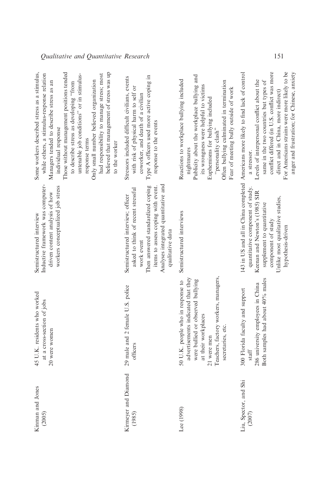| Kinman and Jones<br>(2005)      | 45 U.K. residents who worked<br>at a cross-section of jobs<br>20 were women                                                                                                                                     | Inductive framework was computer-<br>workers conceptualized job stress<br>driven content analysis of how<br>Semistructured interview                                                                                         | believed that management of stress was up<br>Those without management positions tended<br>Some workers described stress as a stimulus,<br>while others, a stimulus-response relation<br>had responsibility to manage stress; most<br>untenable job conditions" or in stimulus-<br>Only small number believed organization<br>Managers tended to describe stress as an<br>to describe stress as developing "from<br>individual response<br>response terms<br>to the worker |
|---------------------------------|-----------------------------------------------------------------------------------------------------------------------------------------------------------------------------------------------------------------|------------------------------------------------------------------------------------------------------------------------------------------------------------------------------------------------------------------------------|---------------------------------------------------------------------------------------------------------------------------------------------------------------------------------------------------------------------------------------------------------------------------------------------------------------------------------------------------------------------------------------------------------------------------------------------------------------------------|
| Kirmeyer and Diamond<br>(1985)  | 29 male and 2 female U.S. police<br>officers                                                                                                                                                                    | Analyses integrated quantitative and<br>Then answered standardized coping<br>items to assess coping with event.<br>asked to think of recent stressful<br>Semistructured interview; officer<br>qualitative data<br>work event | Type A officers used more active coping in<br>Stressors included difficult civilians, events<br>with risk of physical harm to self or<br>coworker, and death of a civilian<br>response to the events                                                                                                                                                                                                                                                                      |
| Lee (1998)                      | Teachers, factory workers, managers,<br>advertisements indicated that they<br>50 U.K. people who in response to<br>were bullied or observed bullying<br>at their workplaces<br>secretaries, etc.<br>21 were men | Semistructured interviews                                                                                                                                                                                                    | Publicity about the workplace bullying and<br>Reactions to workplace bullying included<br>Often bullying culminated in termination<br>its wrongness were helpful to victims<br>Fear of meeting bully outside of work<br>Euphemisms for bullying included<br>"personality clash"<br>nightmares                                                                                                                                                                             |
| Liu, Spector, and Shi<br>(2007) | Both samples had about 40% males<br>286 university employees in China<br>300 Florida faculty and support<br>$\operatorname{stat}$                                                                               | quantitative component of study.<br>Keenan and Newton's (1985) SIR<br>Unlike most qualitative studies,<br>supplement to quantitative<br>component of study<br>hypothesis-driven                                              | conflict differed (in U.S. conflict was more<br>For Americans strains were more likely to be<br>143 in US and all in China completed Americans more likely to find lack of control<br>anger and frustration; for Chinese, anxiety<br>Levels of interpersonal conflict about the<br>same in the two countries but types of<br>direct and in China, more indirect)<br>a stressor.                                                                                           |

# Qualitative and Quantitative Research 151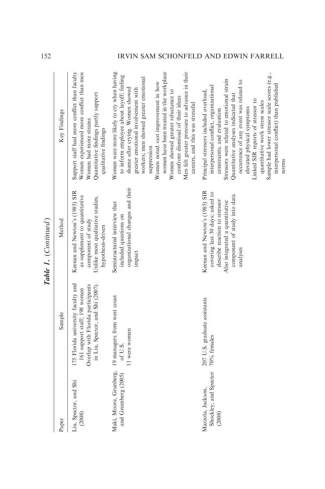|                                                      |                                                                                                                                             | Table 1. (Continued)                                                                                                                                                             |                                                                                                                                                                                                                                                                                                                                                                                                                                                                           |
|------------------------------------------------------|---------------------------------------------------------------------------------------------------------------------------------------------|----------------------------------------------------------------------------------------------------------------------------------------------------------------------------------|---------------------------------------------------------------------------------------------------------------------------------------------------------------------------------------------------------------------------------------------------------------------------------------------------------------------------------------------------------------------------------------------------------------------------------------------------------------------------|
| Paper                                                | Sample                                                                                                                                      | Method                                                                                                                                                                           | Key Findings                                                                                                                                                                                                                                                                                                                                                                                                                                                              |
| Liu, Spector, and Shi<br>(2008)                      | 175 Florida university faculty and<br>Overlap with Florida participants<br>in Liu, Spector, and Shi (2007).<br>161 support staff; 198 women | Keenan and Newton's (1985) SIR<br>as supplement to quantitative<br>Unlike most qualitative studies,<br>component of study<br>hypothesis-driven                                   | Support staff had more conflict than faculty<br>Women experienced more conflict than men<br>Quantitative findings partly support<br>Women had more strains<br>qualitative findings                                                                                                                                                                                                                                                                                        |
| Maki, Moore, Grunberg,<br>and Greenberg (2005)       | 19 managers from west coast<br>11 were women<br>of U.S.                                                                                     | organizational changes and their<br>Semistructured interview that<br>included questions on<br>impact                                                                             | Men felt greater pressure to advance in their<br>Women were more likely to cry when having<br>women have been treated in the workplace<br>to inform employee about layoff; feeling<br>workers; men showed greater emotional<br>Women noted vast improvement in how<br>shame after crying. Women showed<br>greater emotional involvement with<br>Women showed greater reluctance to<br>confront dismissal of their ideas<br>careers, and this was stressful<br>suppression |
| Shockley, and Spector<br>Mazzola, Jackson,<br>(2008) | 207 U.S. graduate assistants<br>70% females                                                                                                 | Keenan and Newton's (1985) SIR<br>covering last 30 days; asked to<br>component of study into data<br>describe reaction to stressor<br>Also integrated a quantitative<br>analyses | Sample had lower stressor scale scores (e.g.,<br>Stressors were related to emotional strain<br>occurrence of any event was related to<br>interpersonal conflict) than published<br>interpersonal conflict, organizational<br>Principal stressors included overload,<br>Quantitative analyses indicated that<br>Linked SIR reports of stressor to<br>quantitative work stress scales<br>elevated physical symptoms<br>constraints, and evaluation<br>norms                 |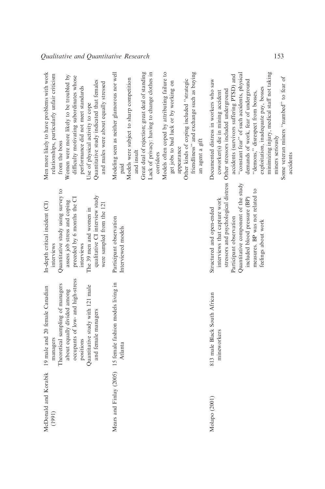| McDonald and Korabik<br>(1991) | occupants of low- and high-stress<br>Theoretical sampling of managers<br>Quantitative study with 121 male<br>19 male and 20 female Canadian<br>about equally divided among<br>and female managers<br>managers<br>positions | Quantitative study using survey to<br>qualitative CI interview study<br>preceded by 6 months the CI<br>assess job stress and coping<br>In-depth critical incident (CI)<br>were sampled from the 121<br>The 39 men and women in<br>interviews<br>interviews | Men more likely to have problems with work<br>relationships, particularly unfair criticism<br>Women were more likely to be troubled by<br>difficulty motivating subordinates whose<br>Quantitative study indicated that females<br>and males were about equally stressed<br>performance did not meet standards<br>Use of physical activity to cope<br>from the boss                                                                                                                                  |
|--------------------------------|----------------------------------------------------------------------------------------------------------------------------------------------------------------------------------------------------------------------------|------------------------------------------------------------------------------------------------------------------------------------------------------------------------------------------------------------------------------------------------------------|------------------------------------------------------------------------------------------------------------------------------------------------------------------------------------------------------------------------------------------------------------------------------------------------------------------------------------------------------------------------------------------------------------------------------------------------------------------------------------------------------|
|                                | Mears and Finlay (2005) 15 female fashion models living in<br>Atlanta                                                                                                                                                      | Participant observation<br>Interviewed models                                                                                                                                                                                                              | Great deal of rejection; great deal of standing<br>Lack of privacy: having to change clothes in<br>Models often coped by attributing failure to<br>friendliness" and exchange such as buying<br>Modeling seen as neither glamorous nor well<br>Models were subject to sharp competition<br>Other kinds of coping included "strategic<br>get jobs to bad luck or by working on<br>an agent a gift<br>appearance<br>and insult<br>corridors<br>paid                                                    |
| Molapo (2001)                  | 813 male Black South African<br>mineworkers                                                                                                                                                                                | Quantitative component of the study<br>measures. BP was not related to<br>interviews that capture work<br>included blood pressure (BP)<br>Structured and open-ended<br>Participant observation<br>feelings about work                                      | minimizing injury, medical staff not taking<br>"constant fear" of such accidents, physical<br>accidents (survivors suffering PTSD) and<br>Some veteran miners "numbed" to fear of<br>Documented distress in workers who saw<br>demands of work, fear of underground<br>exploitation, inadequate pay, bosses<br>stressors and psychological distress Other stressors included underground<br>coworker(s) die in mining accident<br>"demons," disrespect from bosses,<br>miners seriously<br>accidents |

# Qualitative and Quantitative Research 153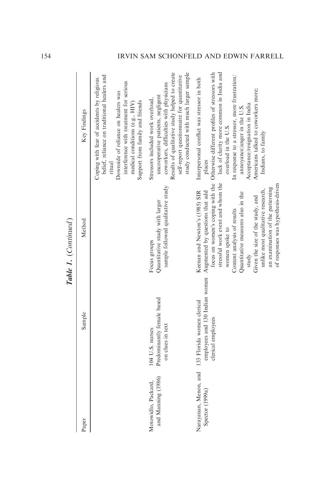| Paper                                     | Sample                                                                 | Method                                                                                                                                                                                                                                                                                                                                                                                  | Key Findings                                                                                                                                                                                                                                                                                                                                                                                |
|-------------------------------------------|------------------------------------------------------------------------|-----------------------------------------------------------------------------------------------------------------------------------------------------------------------------------------------------------------------------------------------------------------------------------------------------------------------------------------------------------------------------------------|---------------------------------------------------------------------------------------------------------------------------------------------------------------------------------------------------------------------------------------------------------------------------------------------------------------------------------------------------------------------------------------------|
|                                           |                                                                        |                                                                                                                                                                                                                                                                                                                                                                                         | belief, reliance on traditional healers and<br>Coping with fear of accidents by religious<br>interference with treatment for serious<br>Downside of reliance on healers was<br>Support from family and friends<br>medical conditions (e.g., HIV)<br>ritual                                                                                                                                  |
| and Manning (1986)<br>Motowidlo, Packard, | Predominantly female based<br>on clues in text<br>104 U.S. nurses      | sample followed qualitative study<br>Quantitative study with larger<br>Focus groups                                                                                                                                                                                                                                                                                                     | Results of qualitative study helped to create<br>study conducted with much larger sample<br>self-report questionnaire for quantitative<br>coworkers, difficulties with physicians<br>uncooperative patients, negligent<br>Stressors included work overload,                                                                                                                                 |
| Spector (1999a)                           | Narayanan, Menon, and 133 Florida women clerical<br>clerical employees | stressful work event and whom the<br>of responses was hypothesis-driven<br>an examination of the patterning<br>unlike most qualitative research,<br>employees and 130 Indian women Augmented by questions that add<br>Keenan and Newton's (1985) SIR<br>Quantitative measures also in the<br>Given the size of the study, and<br>Content analysis of results<br>women spoke to<br>study | focus on women's coping with the Otherwise different profiles of stressors with<br>lack of clarity more common in India and<br>In response to a stressor, more frustration/<br>Interpersonal conflict was stressor in both<br>Americans talked to coworkers more;<br>Acceptance/resignation in India<br>annoyance/anger in the U.S.<br>overload in the U.S.<br>Indians, to family<br>places |

Table 1. (Continued) Table 1. (Continued )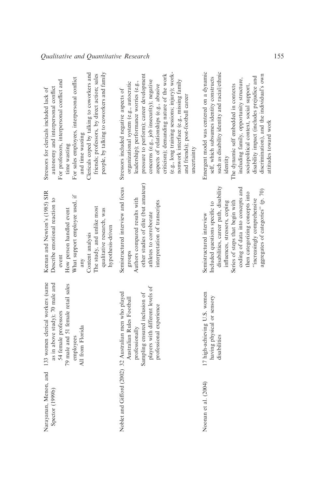| Spector (1999b)      | Narayanan, Menon, and 133 women clerical workers (same<br>as in above study); 70 male and<br>79 male and 51 female retail sales<br>54 female professors<br>All from Florida<br>employees              | Keenan and Newton's (1985) SIR<br>What support employee used, if<br>Describe emotional reaction to<br>The study, and unlike most<br>How person handled event<br>qualitative research, was<br>hypothesis-driven<br>Content analysis<br>event<br>any                                                                 | people, by talking to coworkers and family<br>Clericals coped by talking to coworkers and<br>friends; professors, by direct action; sales<br>For sales employees, interpersonal conflict<br>For professors, interpersonal conflict and<br>autonomy and interpersonal conflict<br>Stressors for clericals included lack of<br>and time wasting<br>time wasting                                                                                                 |
|----------------------|-------------------------------------------------------------------------------------------------------------------------------------------------------------------------------------------------------|--------------------------------------------------------------------------------------------------------------------------------------------------------------------------------------------------------------------------------------------------------------------------------------------------------------------|---------------------------------------------------------------------------------------------------------------------------------------------------------------------------------------------------------------------------------------------------------------------------------------------------------------------------------------------------------------------------------------------------------------------------------------------------------------|
|                      | players with different levels of<br>Noblet and Gifford (2002) 32 Australian men who played<br>Sampling ensured inclusion of<br>Australian Rules Football<br>professional experience<br>professionally | other studies of elite (but amateur)<br>Semistructured interview and focus<br>Authors compared results with<br>interpretation of transcripts<br>athletes to corroborate<br>groups                                                                                                                                  | (e.g., long training sessions; injury); work-<br>criticism); demanding nature of the work<br>pressure to perform); career development<br>concerns (e.g., job insecurity); negative<br>nonwork interface (e.g., missing family<br>leadership); performance worries (e.g.,<br>organizational system (e.g., autocratic<br>aspects of relationships (e.g., abusive<br>Stressors included negative aspects of<br>and friends); post-football career<br>uncertainty |
| Noonan et al. (2004) | 17 high-achieving U.S. women<br>having physical or sensory<br>disabilities                                                                                                                            | disabilities, career path, disability<br>coding of data into concepts and<br>aggregates of categories" (p. 70)<br>then categorizing concepts into<br>"increasingly comprehensive<br>Series of steps that begin with<br>influences, stressors, coping<br>Included questions specific to<br>Semistructured interview | Emergent model was centered on a dynamic<br>such as disability identity and racial/ethnic<br>discrimination), and the individual's own<br>disability impact (includes prejudice and<br>self, which subsumes identity constructs<br>including family, opportunity structure,<br>The dynamic self embedded in contexts<br>sociopolitical context, social support,<br>attitudes toward work<br>identity                                                          |

# Qualitative and Quantitative Research 155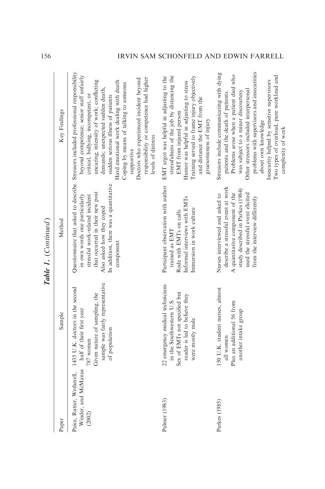|               |                                                                                                                                                                                                              | <b>Table 1.</b> (Continued)                                                                                                                                                                                         |                                                                                                                                                                                                                                                                                                                                                                                                                                                                                                            |
|---------------|--------------------------------------------------------------------------------------------------------------------------------------------------------------------------------------------------------------|---------------------------------------------------------------------------------------------------------------------------------------------------------------------------------------------------------------------|------------------------------------------------------------------------------------------------------------------------------------------------------------------------------------------------------------------------------------------------------------------------------------------------------------------------------------------------------------------------------------------------------------------------------------------------------------------------------------------------------------|
| Paper         | Sample                                                                                                                                                                                                       | Method                                                                                                                                                                                                              | Key Findings                                                                                                                                                                                                                                                                                                                                                                                                                                                                                               |
| (2002)        | sample was fairly representative<br>Paice, Rutter, Wetherell, 1435 U.K. doctors in the second<br>Given nature of sampling, the<br>Winder, and McManus half of their first year<br>of population<br>787 women | In addition, there was a quantitative<br>that occurred in their new post<br>in own words one particularly<br>stressful work-related incident<br>Also asked how they coped<br>component                              | Questionnaire that asked to describe Stressors included professional responsibility<br>beyond competence; senior staff unfairly<br>responsibility or competence had higher<br>Doctors who experienced incident beyond<br>uncaring; intensity of work; conflicting<br>Hard emotional work dealing with death<br>Coping by means of talking to someone<br>demands; unexpected sudden death,<br>critical, bullying, incompetent, or<br>sudden serious illness of patients<br>levels of distress<br>supportive |
| Palmer (1983) | 22 emergency medical technicians<br>Sex of EMTs not specified but<br>reader is led to believe they<br>in the Southwestern U.S.<br>were mostly male                                                           | Participant observation with author<br>Informal interviews with EMTs<br>Immersion in work culture<br>Rode with EMTs on calls<br>trained as EMT                                                                      | stressfulness of the job by distancing the<br>EMT argot was helpful in adjusting to the<br>Training served to frame injury objectively<br>Humor was helpful in adjusting to stress<br>and distance the EMT from the<br>EMT from injured person<br>gruesomeness of injury                                                                                                                                                                                                                                   |
| Parkes (1985) | 150 U.K. student nurses, almost<br>Plus an additional 56 from<br>another intake group<br>all women                                                                                                           | describe a stressful event at work<br>study described in Parkes (1984)<br>A quantitative component of the<br>used the stressful event elicited<br>Nurses interviewed and asked to<br>from the interview differently | Stressors include communicating with dying<br>problems with supervisors and insecurities<br>Problems arose when a patient died who<br>Two types of overload, pure workload and<br>Insecurity helped by sensitive supervisors<br>Other stressors included interpersonal<br>was subject to a minor discourtesy<br>patients and the death of patients.<br>about own knowledge<br>complexity of work                                                                                                           |

# 156 IRVIN SAM SCHONFELD AND EDWIN FARRELL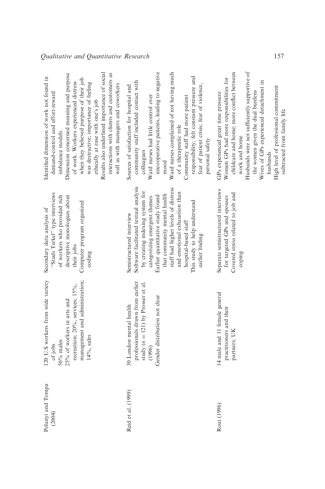| Polanyi and Tompa<br>(2004) | 120 U.S workers from wide variety<br>recreation; 20%, services; 15%,<br>25% of workers in arts and<br>$56\%$ males<br>of jobs                 | "Studs Terkel" type interviews<br>descriptive monologues about<br>of workers who provided rich<br>Secondary data analysis of<br>their jobs                                                               | Dimension concerned meaning and purpose<br>Identified dimension of work not found in<br>of work. Workers experienced distress<br>demand-control and effort-reward<br>imbalance models                                                                      |
|-----------------------------|-----------------------------------------------------------------------------------------------------------------------------------------------|----------------------------------------------------------------------------------------------------------------------------------------------------------------------------------------------------------|------------------------------------------------------------------------------------------------------------------------------------------------------------------------------------------------------------------------------------------------------------|
|                             | management and administration;<br>$14\%$ , sales                                                                                              | Computer program organized<br>coding                                                                                                                                                                     | Results also underlined importance of social<br>interactions with clients and customers as<br>when they believed purpose of their job<br>was destructive; importance of feeling<br>well as with managers and coworkers<br>ethically at ease with one's job |
| Reid et al. (1999)          | professionals drawn from earlier<br>study $(n = 121)$ by Prosser et al.<br>Gender distribution not clear<br>30 London mental health<br>(1996) | Software facilitated textual analysis<br>by creating indexing system for<br>that community mental health<br>Earlier quantitative study found<br>categorizing emergent themes<br>Semistructured interview | uncooperative patients, leading to negative<br>community staff included contact with<br>Sources of satisfaction for hospital and<br>Ward nurses had little control over<br>colleagues<br>mood                                                              |
|                             |                                                                                                                                               | staff had higher levels of distress<br>and emotional exhaustion than<br>This study to help understand<br>hospital-based staff<br>earlier finding                                                         | Ward nurses complained of not having much<br>responsibility; felt constant pressure and<br>fear of patient crisis; fear of violence,<br>Community staff had more patient<br>of a therapeutic role<br>personal safety                                       |
| Rout (1996)                 | 14 male and 11 female general<br>practitioners and their<br>partners; UK                                                                      | Separate semistructured interviews<br>Covered stress related to job and<br>for targeted GPs and spouses<br>coping                                                                                        | Husbands were not sufficiently supportive of<br>childcare and home; more conflict between<br>Women GPs had more responsibilities for<br>the women given the dual burdens<br>GPs experienced great time pressure<br>work and home                           |
|                             |                                                                                                                                               |                                                                                                                                                                                                          | Wives of GPs experienced detachment in<br>High level of professional commitment<br>subtracted from family life<br>husbands                                                                                                                                 |

# Qualitative and Quantitative Research 157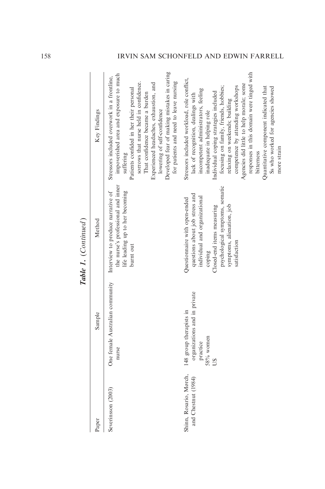|                                               |                                                                                        | <b>Lable 1.</b> (Communed)                                                                                                                                                                                               |                                                                                                                                                                                                                                                                                                                                                                                                                                                                                                                     |
|-----------------------------------------------|----------------------------------------------------------------------------------------|--------------------------------------------------------------------------------------------------------------------------------------------------------------------------------------------------------------------------|---------------------------------------------------------------------------------------------------------------------------------------------------------------------------------------------------------------------------------------------------------------------------------------------------------------------------------------------------------------------------------------------------------------------------------------------------------------------------------------------------------------------|
| Paper                                         | Sample                                                                                 | Method                                                                                                                                                                                                                   | Key Findings                                                                                                                                                                                                                                                                                                                                                                                                                                                                                                        |
| Severinsson (2003)                            | One female Australian community Interview to produce narrative of<br>nurse             | the nurse's professional and inner<br>life leading up to her becoming<br>burnt out                                                                                                                                       | Developed fear of making mistakes in caring<br>impoverished area and exposure to much<br>Stressors included overwork in a frontline,<br>for patients and need to leave nursing<br>sorrows that nurse held in confidence.<br>Experienced headaches, exhaustion, and<br>Patients confided in her their personal<br>That confidence became a burden<br>lowering of self-confidence<br>suffering                                                                                                                        |
| Shinn, Rosario, Mørch,<br>and Chestnut (1984) | organizations and in private<br>148 group therapists in<br>58% women<br>practice<br>SŪ | psychological symptoms, somatic<br>questions about job stress and<br>individual and organizational<br>Questionnaire with open-ended<br>Closed-end items measuring<br>symptoms, alienation, job<br>satisfaction<br>coping | responses in this domain were tinged with<br>Stressors included workload, role conflict,<br>Agencies did little to help morale; some<br>competence by attending workshops<br>focusing on family, friends, hobbies;<br>Quantitative component indicated that<br>Ss who worked for agencies showed<br>incompetent administrators, feeling<br>Individual coping strategies included<br>lack of recognition, dealings with<br>relaxing on weekends; building<br>inadequate in helping role<br>more strain<br>bitterness |

# Table 1.  $(Continued)$ Table 1. (Continued )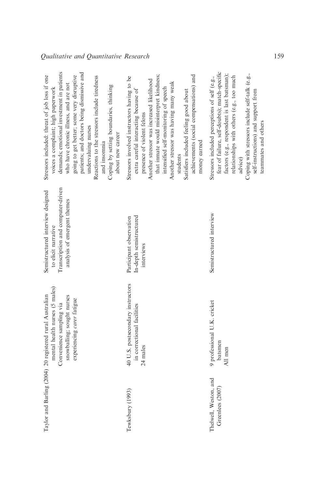|                                           | mental health nurses (5 males)<br>Taylor and Barling (2004) 20 registered rural Australian<br>snowballing; sought nurses<br>experiencing carer fatigue<br>Convenience sampling via | Transcription and computer-driven<br>Semistructured interview designed<br>analysis of emergent themes<br>to elicit narrative | demands; emotional investment in patients<br>patients; and doctors being dismissive and<br>going to get better; some very disruptive<br>Reactions to the stressors include tiredness<br>Stressors included: threat of job loss if one<br>who have chronic illness, and are not<br>Coping by setting boundaries, thinking<br>voices a complaint; high paperwork<br>undervaluing nurses<br>about new career<br>and insomnia |
|-------------------------------------------|------------------------------------------------------------------------------------------------------------------------------------------------------------------------------------|------------------------------------------------------------------------------------------------------------------------------|---------------------------------------------------------------------------------------------------------------------------------------------------------------------------------------------------------------------------------------------------------------------------------------------------------------------------------------------------------------------------------------------------------------------------|
| Tewksbury (1993)                          | 40 U.S. postsecondary instructors<br>in correctional facilities<br>24 males                                                                                                        | In-depth semistructured<br>Participant observation<br>interviews                                                             | that inmate would misinterpret kindness;<br>achievements (social compensations) and<br>Stressors involved instructors having to be<br>Another stressor was increased likelihood<br>Another stressor was having many weak<br>intensified self-monitoring of speech<br>extra careful interacting because of<br>Satisfiers included feeling good about<br>presence of violent felons<br>money earned<br>students             |
| Thelwell, Weston, and<br>Greenlees (2007) | 9 professional U.K. cricket<br>batsmen<br>All men                                                                                                                                  | Semistructured interview                                                                                                     | fear of failure, self-doubts); match-specific<br>factors (e.g., respondent is last batsman);<br>Coping with stressors include self-talk (e.g.,<br>relationships with others (e.g., too much<br>Stressors included perceptions of self (e.g.,<br>self-instructions) and support from<br>teammates and others<br>advice)                                                                                                    |

# Qualitative and Quantitative Research 159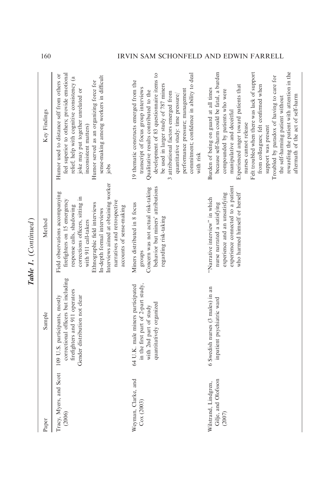| Paper                                                 | Sample                                                                                                                                  | Method                                                                                                                                                                                                                                                                                                                      | Key Findings                                                                                                                                                                                                                                                                                                                                                                                                                                                                                                |
|-------------------------------------------------------|-----------------------------------------------------------------------------------------------------------------------------------------|-----------------------------------------------------------------------------------------------------------------------------------------------------------------------------------------------------------------------------------------------------------------------------------------------------------------------------|-------------------------------------------------------------------------------------------------------------------------------------------------------------------------------------------------------------------------------------------------------------------------------------------------------------------------------------------------------------------------------------------------------------------------------------------------------------------------------------------------------------|
| Tracy, Myers, and Scott<br>(2006)                     | correctional officers but including<br>firefighters and 911 operators<br>Gender distribution not clear<br>109 U.S. participants, mostly | Interviews aimed at obtaining worker<br>Field observations accompanying<br>corrections officers, sitting in<br>firefighters on 15 emergency<br>narratives and retrospective<br>Ethnographic field interviews<br>response calls, shadowing<br>accounts of sense-making<br>In-depth formal interviews<br>with 911 call-takers | feel superior to others; provide emotional<br>Humor used to distance self from others or<br>sense-making among workers in difficult<br>relief; help with cognitive consistency (a<br>Humor served as an organizing force for<br>joke may put together unrelated or<br>inconsistent matters)<br>iobs                                                                                                                                                                                                         |
| Weyman, Clarke, and<br>$\cos(2003)$                   | in the first part of 2-part study,<br>64 U.K. male miners participated<br>quantitatively organized<br>with 2nd part of study            | behavior but miners' attributions<br>Concern was not actual risk-taking<br>Miners distributed in 8 focus<br>regarding risk-taking<br>groups                                                                                                                                                                                 | commitment; confidence in ability to deal<br>development of 83 questionnaire items to<br>19 thematic constructs emerged from the<br>be used in larger study of 787 miners<br>transcript of focus group interviews<br>performance pressure; management<br>Qualitative results contributed to the<br>3 attributional factors emerged from<br>quantitative study: time pressure/<br>with risk                                                                                                                  |
| Gilje, and Olofsson<br>Wilstrand, Lindgren,<br>(2007) | 6 Swedish nurses (3 males) in an<br>inpatient psychiatric ward                                                                          | experience connected to a patient<br>experience and an unsatisfying<br>who harmed himself or herself<br>"Narrative interview" in which<br>nurse narrated a satisfying                                                                                                                                                       | Felt troubled when there was lack of support<br>rewarding the patient with attention in the<br>because self-harm could be fatal, a burden<br>Troubled by paradox of having to care for<br>Experienced anger toward patients that<br>from colleagues; felt confirmed when<br>Burden of being on guard at all times<br>compounded by patients who were<br>aftermath of the act of self-harm<br>the self-harming patient without<br>manipulative and deceitful<br>nurses cannot release<br>support was present |

Table 1. (Continued) Table 1. (Continued )

#### 160 IRVIN SAM SCHONFELD AND EDWIN FARRELL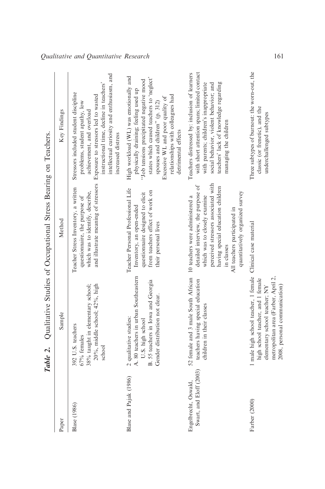|                                                 | Table 2.                                                                                                                                                                                                  | Qualitative Studies of Occupational Stress Bearing on Teachers.                                                                                                                                                                                                      |                                                                                                                                                                                                                                                                                                           |
|-------------------------------------------------|-----------------------------------------------------------------------------------------------------------------------------------------------------------------------------------------------------------|----------------------------------------------------------------------------------------------------------------------------------------------------------------------------------------------------------------------------------------------------------------------|-----------------------------------------------------------------------------------------------------------------------------------------------------------------------------------------------------------------------------------------------------------------------------------------------------------|
| Paper                                           | Sample                                                                                                                                                                                                    | Method                                                                                                                                                                                                                                                               | Key Findings                                                                                                                                                                                                                                                                                              |
| Blase (1986)                                    | 38% taught in elementary school;<br>20%, middle school; 42%, high<br>392 U.S. teachers<br>67% females<br>school                                                                                           | and illustrate meaning of stressors<br>Teacher Stress Inventory, a written<br>which was to identify, describe,<br>questionnaire, the purpose of                                                                                                                      | intellectual curiosity and enthusiasm, and<br>instructional time, decline in teachers'<br>Stressors included student discipline<br>Exposure to stressors led to wasted<br>problems, student apathy, low<br>achievement, and overload<br>increased distress                                                |
| Blase and Pajak (1986)                          | A. 80 teachers in urban Southeastern<br>B. 55 teachers in Iowa and Georgia<br>Gender distribution not clear.<br>2 qualitative studies:<br>U.S. high school                                                | Teacher Personal Professional Life<br>from teachers effect of work on<br>questionnaire designed to elicit<br>Inventory, an open-ended<br>their personal lives                                                                                                        | High workload (WL) was emotionally and<br>states which caused teachers to 'neglect'<br>"Job tensions precipitated negative mood<br>physically draining; feeling used up<br>relationships with colleagues had<br>Excessive WL and poor quality of<br>spouses and children" (p. 312)<br>detrimental effects |
| Swart, and Eloff (2003)<br>Engelbrecht, Oswald, | 52 female and 3 male South African<br>teachers having special education<br>children in their classes                                                                                                      | perceived stressors associated with<br>ð<br>having special education children<br>detailed interview, the purpose<br>quantitatively organized survey<br>10 teachers were administered a<br>which was to closely examine<br>All teachers participated in<br>in classes | with short attention spans; limited contact<br>Teachers distressed by: inclusion of learners<br>teachers' lack of knowledge regarding<br>social behavior, violent behavior; and<br>with parents; children's inappropriate<br>managing the children                                                        |
| Farber (2000)                                   | 1 male high school teacher, 1 female Clinical case material<br>metropolitan area (Farber, April 2,<br>high school teacher, and 1 female<br>2008, personal communication)<br>elementary school teacher; NY |                                                                                                                                                                                                                                                                      | Three subtypes of burnout: the worn-out, the<br>classic (or frenetic), and the<br>underchallenged subtypes                                                                                                                                                                                                |

# Qualitative and Quantitative Research 161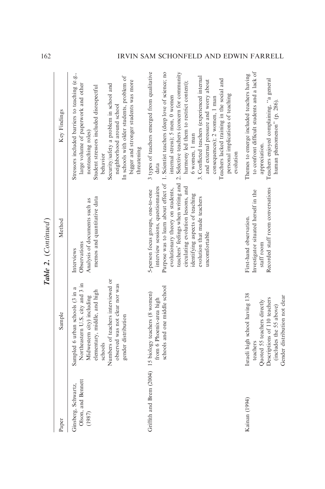|                                                     |                                                                                                                                                                                                                                            | Table 2. (Continued)                                                                                                                                                                                                                                                         |                                                                                                                                                                                                                                                                                                                                                                                                                                                                                                                        |
|-----------------------------------------------------|--------------------------------------------------------------------------------------------------------------------------------------------------------------------------------------------------------------------------------------------|------------------------------------------------------------------------------------------------------------------------------------------------------------------------------------------------------------------------------------------------------------------------------|------------------------------------------------------------------------------------------------------------------------------------------------------------------------------------------------------------------------------------------------------------------------------------------------------------------------------------------------------------------------------------------------------------------------------------------------------------------------------------------------------------------------|
| Paper                                               | Sample                                                                                                                                                                                                                                     | Method                                                                                                                                                                                                                                                                       | Key Findings                                                                                                                                                                                                                                                                                                                                                                                                                                                                                                           |
| Olson, and Bennett<br>Ginsberg, Schwartz,<br>(1987) | Numbers of teachers interviewed or<br>Northeastern U.S. city and 3 in<br>observed was not clear nor was<br>Sampled 6 urban schools (3 in a<br>elementary, middle, and high<br>Midwestern city) including<br>gender distribution<br>schools | memos and quantitative data<br>Analysis of documents such as<br>Observations<br>Interviews                                                                                                                                                                                   | Stressors included barriers to teaching (e.g.,<br>In schools with older students, problem of<br>bigger and stronger students was more<br>large volume of paperwork and other<br>Security/safety a problem in school and<br>Student stressors included disrespectful<br>neighborhood around school<br>nonteaching roles)<br>threatening<br>behavior                                                                                                                                                                     |
|                                                     | schools and one middle school<br>Griffith and Brem (2004) 15 biology teachers (8 women)<br>from 6 Phoenix-area high                                                                                                                        | teachers' feelings when writing and<br>circulating evolution lessons, and<br>interview sessions, questionnaires<br>evolutionary theory on students,<br>5-person focus groups, one-to-one<br>identifying aspects of teaching<br>evolution that made teachers<br>uncomfortable | 3 types of teachers emerged from qualitative<br>Purpose was to learn about effect of 1. Scientist teachers (deep love of science; no<br>2. Selective teachers (concern for community<br>3. Conflicted teachers (experienced internal<br>Teachers lacked training in the social and<br>and external pressure and worry about<br>harmony led them to restrict content);<br>personal implications of teaching<br>internal stress); 5 men, 0 women<br>consequences); 2 women, 1 man<br>6 women, 1 man<br>evolution<br>data |
| Kainan (1994)                                       | Israeli high school having 138<br>Gender distribution not clear<br>Descriptions of 110 teachers<br>Quoted 55 teachers directly<br>(includes the 55 above)<br>teachers                                                                      | Recorded staff room conversations<br>Investigator situated herself in the<br>First-hand observation.<br>staff room                                                                                                                                                           | to confront difficult students and a lack of<br>Themes to emerge included teachers having<br>Teachers enjoyed complaining, "a general<br>human phenomenon" (p. 286).<br>appreciation.                                                                                                                                                                                                                                                                                                                                  |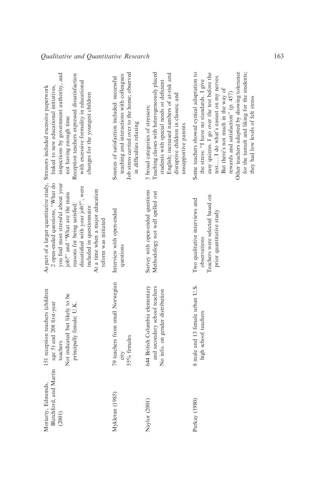| Blatchford, and Martin<br>Moriarty, Edmonds,<br>(2001) | 151 reception teachers (children<br>Not indicated but likely to be<br>age 5) and 208 first-year<br>principally female; U.K.<br>teachers | you find most stressful about your<br>dissatisfied with your job?", were<br>At a time when a major education<br>job?" and "What are the main<br>reasons for being satisfied/<br>included in questionnaire<br>reform was initiated | inspections by government authority, and<br>Reception teachers expressed dissatisfaction<br>with excessive formality in educational<br>2 open-ended questions, "What do linked to new educational initiatives,<br>As part of a larger quantitative study, Stressors included excessive paperwork<br>changes for the youngest children<br>not having enough time                                 |
|--------------------------------------------------------|-----------------------------------------------------------------------------------------------------------------------------------------|-----------------------------------------------------------------------------------------------------------------------------------------------------------------------------------------------------------------------------------|-------------------------------------------------------------------------------------------------------------------------------------------------------------------------------------------------------------------------------------------------------------------------------------------------------------------------------------------------------------------------------------------------|
| Mykletun (1985)                                        | 79 teachers from small Norwegian<br>55% females<br>city                                                                                 | Interview with open-ended<br>questions                                                                                                                                                                                            | Job stress carried over to the home; observed<br>teaching and interactions with colleagues<br>Sources of satisfaction included: successful<br>in difficulties relaxing                                                                                                                                                                                                                          |
| Naylor (2001)                                          | 644 British Columbia elementary<br>and secondary school teachers<br>No info. on gender distribution                                     | Survey with open-ended questions<br>Methodology not well spelled out                                                                                                                                                              | Teaching classes with heterogeneously placed<br>English; increased numbers of at-risk and<br>students with special needs or deficient<br>disruptive children in classes; and<br>3 broad categories of stressors:<br>unsupportive parents                                                                                                                                                        |
| Parkay (1980)                                          | 8 male and 13 female urban U.S.<br>high school teachers                                                                                 | Teachers were selected based on<br>Two qualitative interviews and<br>prior quantitative study<br>observations                                                                                                                     | Other teachers adapted by showing tolerance<br>Some teachers showed cynical adaptation to<br>for the tumult and liking for the students;<br>easy quizzes. I go over the test before the<br>test I do what's easiest on my nerves.<br>the stress: "I have no standards. I give<br>But there's not much in the way of<br>rewards and satisfaction" (p. 457)<br>they had low levels of felt stress |

# Qualitative and Quantitative Research 163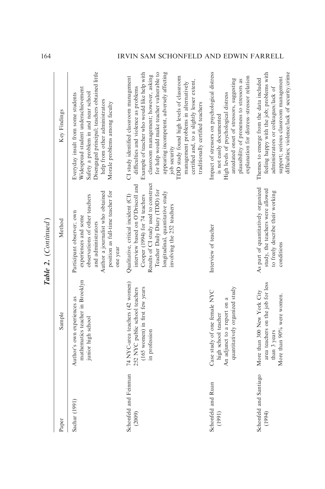| Paper                            | Sample                                                                                                               | Method                                                                                                                                                                                                                                                | Key Findings                                                                                                                                                                                                                                                                                                                                                                                                                                                |
|----------------------------------|----------------------------------------------------------------------------------------------------------------------|-------------------------------------------------------------------------------------------------------------------------------------------------------------------------------------------------------------------------------------------------------|-------------------------------------------------------------------------------------------------------------------------------------------------------------------------------------------------------------------------------------------------------------------------------------------------------------------------------------------------------------------------------------------------------------------------------------------------------------|
| Sachar (1991)                    | mathematics teacher in Brooklyn<br>Author's own experiences as<br>junior high school                                 | position as full-time teacher for<br>Author a journalist who obtained<br>observations of other teachers<br>Participant observer; own<br>experiences and some<br>and administrators<br>one year                                                        | Disengaged principal; teachers obtained little<br>Widespread student underachievement<br>Safety a problem in and near school<br>Everyday insult from some students<br>help from other administrators<br>Morale problems among faculty                                                                                                                                                                                                                       |
| Schonfeld and Feinman<br>(2009)  | 74 NYC-area teachers (42 women)<br>(165 women) in first few years<br>252 NYC public school teachers<br>in profession | Results of CI study used to construct<br>interview based on O'Driscoll and<br>Teacher Daily Diary (TDD) for<br>longitudinal, quantitative study<br>Qualitative, critical incident (CI)<br>Cooper (1994) for 74 teachers<br>involving the 252 teachers | appearing incompetent, adversely affecting<br>Example of teacher who would like help with<br>for help would make teacher vulnerable to<br>classroom management; however, asking<br>CI study identified classroom management<br>TDD study found high levels of classroom<br>certified and, to a slightly lesser extent,<br>management problems in alternatively<br>difficulties and violence as problems<br>traditionally certified teachers<br>job security |
| Schonfeld and Ruan<br>(1991)     | quantitatively organized study<br>Case study of one female NYC<br>An adjunct to a report on a<br>high school teacher | Interview of teacher                                                                                                                                                                                                                                  | Impact of stressors on psychological distress<br>explanation for distress-stressor relation<br>antedated onset of stressors, suggesting<br>plausibility of proneness to stressors as<br>High levels of psychological distress<br>is not easily documented                                                                                                                                                                                                   |
| Schonfeld and Santiago<br>(1994) | area teachers on the job for less<br>More than 300 New York City<br>More than 90% were women.<br>than 3 years        | As part of quantitatively organized<br>study, the teachers were allowed<br>to freely describe their working<br>conditions                                                                                                                             | difficulties; violence/lack of security/crime<br>feeling happy with the job; problems with<br>support; serious classroom management<br>Themes to emerge from the data included<br>administrators or colleagues/lack of                                                                                                                                                                                                                                      |

Table 2. (Continued) Table 2. (Continued )

#### 164 IRVIN SAM SCHONFELD AND EDWIN FARRELL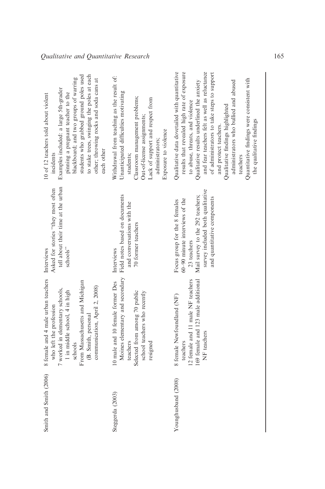| to stake trees, swinging the poles at each<br>students who grabbed ground poles used<br>blackboard; and two groups of warring<br>other; throwing rocks and soda cans at<br>Examples included: a large 5th-grader<br>pinning a pregnant teacher to the<br>10 of 12 teachers told about violent<br>each other<br>incidents | Withdrawal from teaching as the result of:<br>Unanticipated difficulties motivating<br>Classroom management problems;<br>Lack of support and respect from<br>Out-of-license assignments;<br>Exposure to violence<br>administrators;<br>students; | Qualitative data dovetailed with quantitative<br>results that revealed high rate of exposure<br>and fear teachers felt as well as reluctance<br>of administrators to take steps to support<br>Quantitative findings were consistent with<br>Qualitative results underlined the anxiety<br>administrators who bullied and abused<br>to abuse, threats, and violence<br>Qualitative findings highlighted<br>the qualitative findings<br>and protect teachers.<br>teachers |
|--------------------------------------------------------------------------------------------------------------------------------------------------------------------------------------------------------------------------------------------------------------------------------------------------------------------------|--------------------------------------------------------------------------------------------------------------------------------------------------------------------------------------------------------------------------------------------------|-------------------------------------------------------------------------------------------------------------------------------------------------------------------------------------------------------------------------------------------------------------------------------------------------------------------------------------------------------------------------------------------------------------------------------------------------------------------------|
| tell about their time at the urban<br>Asked for stories "they most often<br>schools"<br>Interviews                                                                                                                                                                                                                       | and conversations with the<br>70 former teachers<br>Interviews                                                                                                                                                                                   | survey included both qualitative<br>Mail survey to the 292 teachers;<br>and quantitative components<br>60-90 minute interviews of the<br>Focus group for the 8 females<br>23 teachers                                                                                                                                                                                                                                                                                   |
| 8 female and 4 male urban teachers<br>From Massachusetts and Michigan<br>communication, April 2, 2008)<br>7 worked in elementary schools,<br>1 in middle school, 4 in high<br>who left the profession<br>(B. Smith, personal<br>schools                                                                                  | Moines elementary and secondary Field notes based on documents<br>10 male and 10 female former Des<br>Selected from among 70 public<br>school teachers who recently<br>teachers<br>resigned                                                      | 169 female and 123 male additional<br>12 female and 11 male NF teachers<br>8 female Newfoundland (NF)<br>NF teachers<br>teachers                                                                                                                                                                                                                                                                                                                                        |
| Smith and Smith (2006)                                                                                                                                                                                                                                                                                                   | Steggerda (2003)                                                                                                                                                                                                                                 | Younghusband (2008)                                                                                                                                                                                                                                                                                                                                                                                                                                                     |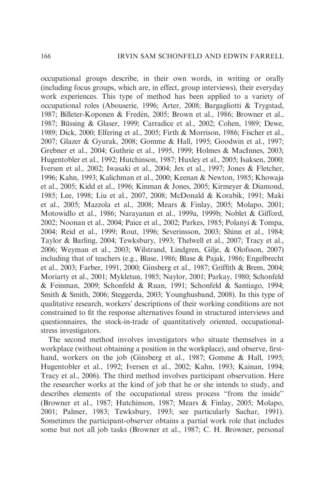occupational groups describe, in their own words, in writing or orally (including focus groups, which are, in effect, group interviews), their everyday work experiences. This type of method has been applied to a variety of occupational roles (Abouserie, 1996; Arter, 2008; Bargagliotti & Trygstad, 1987; Billeter-Koponen & Fredén, 2005; Brown et al., 1986; Browner et al., 1987; Büssing & Glaser, 1999; Carradice et al., 2002; Cohen, 1989; Dewe, 1989; Dick, 2000; Elfering et al., 2005; Firth & Morrison, 1986; Fischer et al., 2007; Glazer & Gyurak, 2008; Gomme & Hall, 1995; Goodwin et al., 1997; Grebner et al., 2004; Guthrie et al., 1995, 1999; Holmes & MacInnes, 2003; Hugentobler et al., 1992; Hutchinson, 1987; Huxley et al., 2005; Isaksen, 2000; Iversen et al., 2002; Iwasaki et al., 2004; Jex et al., 1997; Jones & Fletcher, 1996; Kahn, 1993; Kalichman et al., 2000; Keenan & Newton, 1985; Khowaja et al., 2005; Kidd et al., 1996; Kinman & Jones, 2005; Kirmeyer & Diamond, 1985; Lee, 1998; Liu et al., 2007, 2008; McDonald & Korabik, 1991; Maki et al., 2005; Mazzola et al., 2008; Mears & Finlay, 2005; Molapo, 2001; Motowidlo et al., 1986; Narayanan et al., 1999a, 1999b; Noblet & Gifford, 2002; Noonan et al., 2004; Paice et al., 2002; Parkes, 1985; Polanyi & Tompa, 2004; Reid et al., 1999; Rout, 1996; Severinsson, 2003; Shinn et al., 1984; Taylor & Barling, 2004; Tewksbury, 1993; Thelwell et al., 2007; Tracy et al., 2006; Weyman et al., 2003; Wilstrand, Lindgren, Gilje, & Olofsson, 2007) including that of teachers (e.g., Blase, 1986; Blase & Pajak, 1986; Engelbrecht et al., 2003; Farber, 1991, 2000; Ginsberg et al., 1987; Griffith & Brem, 2004; Moriarty et al., 2001; Mykletun, 1985; Naylor, 2001; Parkay, 1980; Schonfeld & Feinman, 2009; Schonfeld & Ruan, 1991; Schonfeld & Santiago, 1994; Smith & Smith, 2006; Steggerda, 2003; Younghusband, 2008). In this type of qualitative research, workers' descriptions of their working conditions are not constrained to fit the response alternatives found in structured interviews and questionnaires, the stock-in-trade of quantitatively oriented, occupationalstress investigators.

The second method involves investigators who situate themselves in a workplace (without obtaining a position in the workplace), and observe, firsthand, workers on the job (Ginsberg et al., 1987; Gomme & Hall, 1995; Hugentobler et al., 1992; Iversen et al., 2002; Kahn, 1993; Kainan, 1994; Tracy et al., 2006). The third method involves participant observation. Here the researcher works at the kind of job that he or she intends to study, and describes elements of the occupational stress process ''from the inside'' (Browner et al., 1987; Hutchinson, 1987; Mears & Finlay, 2005; Molapo, 2001; Palmer, 1983; Tewksbury, 1993; see particularly Sachar, 1991). Sometimes the participant-observer obtains a partial work role that includes some but not all job tasks (Browner et al., 1987; C. H. Browner, personal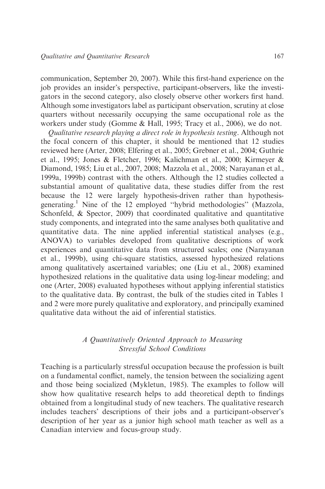communication, September 20, 2007). While this first-hand experience on the job provides an insider's perspective, participant-observers, like the investigators in the second category, also closely observe other workers first hand. Although some investigators label as participant observation, scrutiny at close quarters without necessarily occupying the same occupational role as the workers under study (Gomme & Hall, 1995; Tracy et al., 2006), we do not.

Qualitative research playing a direct role in hypothesis testing. Although not the focal concern of this chapter, it should be mentioned that 12 studies reviewed here (Arter, 2008; Elfering et al., 2005; Grebner et al., 2004; Guthrie et al., 1995; Jones & Fletcher, 1996; Kalichman et al., 2000; Kirmeyer & Diamond, 1985; Liu et al., 2007, 2008; Mazzola et al., 2008; Narayanan et al., 1999a, 1999b) contrast with the others. Although the 12 studies collected a substantial amount of qualitative data, these studies differ from the rest because the 12 were largely hypothesis-driven rather than hypothesisgenerating.<sup>1</sup> Nine of the 12 employed "hybrid methodologies" (Mazzola, Schonfeld, & Spector, 2009) that coordinated qualitative and quantitative study components, and integrated into the same analyses both qualitative and quantitative data. The nine applied inferential statistical analyses (e.g., ANOVA) to variables developed from qualitative descriptions of work experiences and quantitative data from structured scales; one (Narayanan et al., 1999b), using chi-square statistics, assessed hypothesized relations among qualitatively ascertained variables; one (Liu et al., 2008) examined hypothesized relations in the qualitative data using log-linear modeling; and one (Arter, 2008) evaluated hypotheses without applying inferential statistics to the qualitative data. By contrast, the bulk of the studies cited in Tables 1 and 2 were more purely qualitative and exploratory, and principally examined qualitative data without the aid of inferential statistics.

#### A Quantitatively Oriented Approach to Measuring Stressful School Conditions

Teaching is a particularly stressful occupation because the profession is built on a fundamental conflict, namely, the tension between the socializing agent and those being socialized (Mykletun, 1985). The examples to follow will show how qualitative research helps to add theoretical depth to findings obtained from a longitudinal study of new teachers. The qualitative research includes teachers' descriptions of their jobs and a participant-observer's description of her year as a junior high school math teacher as well as a Canadian interview and focus-group study.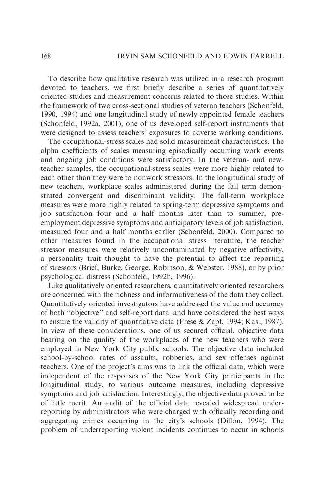To describe how qualitative research was utilized in a research program devoted to teachers, we first briefly describe a series of quantitatively oriented studies and measurement concerns related to those studies. Within the framework of two cross-sectional studies of veteran teachers (Schonfeld, 1990, 1994) and one longitudinal study of newly appointed female teachers (Schonfeld, 1992a, 2001), one of us developed self-report instruments that were designed to assess teachers' exposures to adverse working conditions.

The occupational-stress scales had solid measurement characteristics. The alpha coefficients of scales measuring episodically occurring work events and ongoing job conditions were satisfactory. In the veteran- and newteacher samples, the occupational-stress scales were more highly related to each other than they were to nonwork stressors. In the longitudinal study of new teachers, workplace scales administered during the fall term demonstrated convergent and discriminant validity. The fall-term workplace measures were more highly related to spring-term depressive symptoms and job satisfaction four and a half months later than to summer, preemployment depressive symptoms and anticipatory levels of job satisfaction, measured four and a half months earlier (Schonfeld, 2000). Compared to other measures found in the occupational stress literature, the teacher stressor measures were relatively uncontaminated by negative affectivity, a personality trait thought to have the potential to affect the reporting of stressors (Brief, Burke, George, Robinson, & Webster, 1988), or by prior psychological distress (Schonfeld, 1992b, 1996).

Like qualitatively oriented researchers, quantitatively oriented researchers are concerned with the richness and informativeness of the data they collect. Quantitatively oriented investigators have addressed the value and accuracy of both ''objective'' and self-report data, and have considered the best ways to ensure the validity of quantitative data (Frese & Zapf, 1994; Kasl, 1987). In view of these considerations, one of us secured official, objective data bearing on the quality of the workplaces of the new teachers who were employed in New York City public schools. The objective data included school-by-school rates of assaults, robberies, and sex offenses against teachers. One of the project's aims was to link the official data, which were independent of the responses of the New York City participants in the longitudinal study, to various outcome measures, including depressive symptoms and job satisfaction. Interestingly, the objective data proved to be of little merit. An audit of the official data revealed widespread underreporting by administrators who were charged with officially recording and aggregating crimes occurring in the city's schools (Dillon, 1994). The problem of underreporting violent incidents continues to occur in schools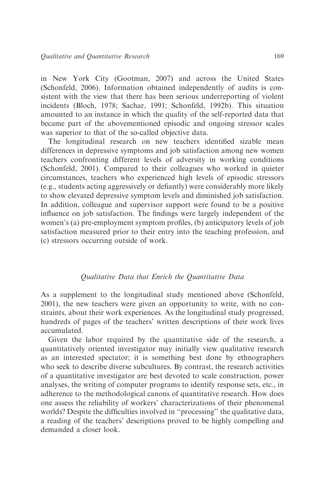in New York City (Gootman, 2007) and across the United States (Schonfeld, 2006). Information obtained independently of audits is consistent with the view that there has been serious underreporting of violent incidents (Bloch, 1978; Sachar, 1991; Schonfeld, 1992b). This situation amounted to an instance in which the quality of the self-reported data that became part of the abovementioned episodic and ongoing stressor scales was superior to that of the so-called objective data.

The longitudinal research on new teachers identified sizable mean differences in depressive symptoms and job satisfaction among new women teachers confronting different levels of adversity in working conditions (Schonfeld, 2001). Compared to their colleagues who worked in quieter circumstances, teachers who experienced high levels of episodic stressors (e.g., students acting aggressively or defiantly) were considerably more likely to show elevated depressive symptom levels and diminished job satisfaction. In addition, colleague and supervisor support were found to be a positive influence on job satisfaction. The findings were largely independent of the women's (a) pre-employment symptom profiles, (b) anticipatory levels of job satisfaction measured prior to their entry into the teaching profession, and (c) stressors occurring outside of work.

#### Qualitative Data that Enrich the Quantitative Data

As a supplement to the longitudinal study mentioned above (Schonfeld, 2001), the new teachers were given an opportunity to write, with no constraints, about their work experiences. As the longitudinal study progressed, hundreds of pages of the teachers' written descriptions of their work lives accumulated.

Given the labor required by the quantitative side of the research, a quantitatively oriented investigator may initially view qualitative research as an interested spectator; it is something best done by ethnographers who seek to describe diverse subcultures. By contrast, the research activities of a quantitative investigator are best devoted to scale construction, power analyses, the writing of computer programs to identify response sets, etc., in adherence to the methodological canons of quantitative research. How does one assess the reliability of workers' characterizations of their phenomenal worlds? Despite the difficulties involved in ''processing'' the qualitative data, a reading of the teachers' descriptions proved to be highly compelling and demanded a closer look.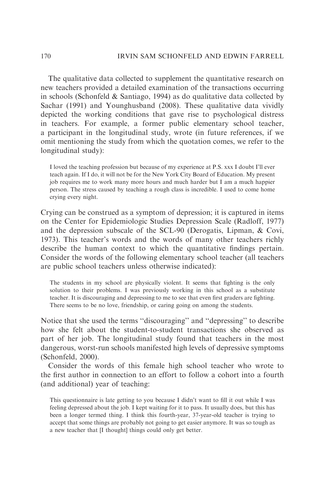The qualitative data collected to supplement the quantitative research on new teachers provided a detailed examination of the transactions occurring in schools (Schonfeld  $&$  Santiago, 1994) as do qualitative data collected by Sachar (1991) and Younghusband (2008). These qualitative data vividly depicted the working conditions that gave rise to psychological distress in teachers. For example, a former public elementary school teacher, a participant in the longitudinal study, wrote (in future references, if we omit mentioning the study from which the quotation comes, we refer to the longitudinal study):

I loved the teaching profession but because of my experience at P.S. xxx I doubt I'll ever teach again. If I do, it will not be for the New York City Board of Education. My present job requires me to work many more hours and much harder but I am a much happier person. The stress caused by teaching a rough class is incredible. I used to come home crying every night.

Crying can be construed as a symptom of depression; it is captured in items on the Center for Epidemiologic Studies Depression Scale (Radloff, 1977) and the depression subscale of the SCL-90 (Derogatis, Lipman, & Covi, 1973). This teacher's words and the words of many other teachers richly describe the human context to which the quantitative findings pertain. Consider the words of the following elementary school teacher (all teachers are public school teachers unless otherwise indicated):

The students in my school are physically violent. It seems that fighting is the only solution to their problems. I was previously working in this school as a substitute teacher. It is discouraging and depressing to me to see that even first graders are fighting. There seems to be no love, friendship, or caring going on among the students.

Notice that she used the terms ''discouraging'' and ''depressing'' to describe how she felt about the student-to-student transactions she observed as part of her job. The longitudinal study found that teachers in the most dangerous, worst-run schools manifested high levels of depressive symptoms (Schonfeld, 2000).

Consider the words of this female high school teacher who wrote to the first author in connection to an effort to follow a cohort into a fourth (and additional) year of teaching:

This questionnaire is late getting to you because I didn't want to fill it out while I was feeling depressed about the job. I kept waiting for it to pass. It usually does, but this has been a longer termed thing. I think this fourth-year, 37-year-old teacher is trying to accept that some things are probably not going to get easier anymore. It was so tough as a new teacher that [I thought] things could only get better.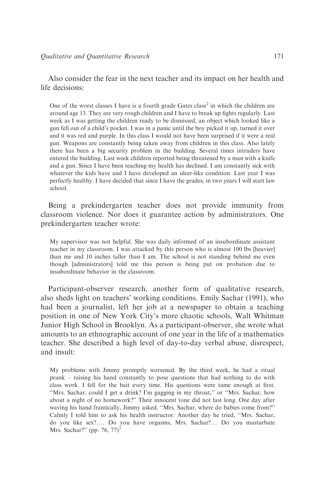Also consider the fear in the next teacher and its impact on her health and life decisions:

One of the worst classes I have is a fourth grade Gates class<sup>2</sup> in which the children are around age 13. They are very rough children and I have to break up fights regularly. Last week as I was getting the children ready to be dismissed, an object which looked like a gun fell out of a child's pocket. I was in a panic until the boy picked it up, turned it over and it was red and purple. In this class I would not have been surprised if it were a real gun. Weapons are constantly being taken away from children in this class. Also lately there has been a big security problem in the building. Several times intruders have entered the building. Last week children reported being threatened by a man with a knife and a gun. Since I have been teaching my health has declined. I am constantly sick with whatever the kids have and I have developed an ulcer-like condition. Last year I was perfectly healthy. I have decided that since I have the grades, in two years I will start law school.

Being a prekindergarten teacher does not provide immunity from classroom violence. Nor does it guarantee action by administrators. One prekindergarten teacher wrote:

My supervisor was not helpful. She was daily informed of an insubordinate assistant teacher in my classroom. I was attacked by this person who is almost 100 lbs [heavier] than me and 10 inches taller than I am. The school is not standing behind me even though [administrators] told me this person is being put on probation due to insubordinate behavior in the classroom.

Participant-observer research, another form of qualitative research, also sheds light on teachers' working conditions. Emily Sachar (1991), who had been a journalist, left her job at a newspaper to obtain a teaching position in one of New York City's more chaotic schools, Walt Whitman Junior High School in Brooklyn. As a participant-observer, she wrote what amounts to an ethnographic account of one year in the life of a mathematics teacher. She described a high level of day-to-day verbal abuse, disrespect, and insult:

My problems with Jimmy promptly worsened. By the third week, he had a ritual prank – raising his hand constantly to pose questions that had nothing to do with class work. I fell for the bait every time. His questions were tame enough at first. ''Mrs. Sachar, could I get a drink? I'm gagging in my throat,'' or ''Mrs. Sachar, how about a night of no homework?'' Their innocent tone did not last long. One day after waving his hand frantically, Jimmy asked, ''Mrs. Sachar, where do babies come from?'' Calmly I told him to ask his health instructor. Another day he tried, ''Mrs. Sachar, do you like sex?.... Do you have orgasms, Mrs. Sachar?... Do you masturbate Mrs. Sachar?" (pp. 76, 77) $3$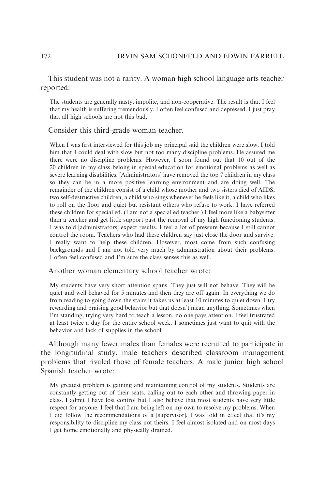This student was not a rarity. A woman high school language arts teacher reported:

The students are generally nasty, impolite, and non-cooperative. The result is that I feel that my health is suffering tremendously. I often feel confused and depressed. I just pray that all high schools are not this bad.

Consider this third-grade woman teacher.

When I was first interviewed for this job my principal said the children were slow. I told him that I could deal with slow but not too many discipline problems. He assured me there were no discipline problems. However, I soon found out that 10 out of the 20 children in my class belong in special education for emotional problems as well as severe learning disabilities. [Administrators] have removed the top 7 children in my class so they can be in a more positive learning environment and are doing well. The remainder of the children consist of a child whose mother and two sisters died of AIDS, two self-destructive children, a child who sings whenever he feels like it, a child who likes to roll on the floor and quiet but resistant others who refuse to work. I have referred these children for special ed. (I am not a special ed teacher.) I feel more like a babysitter than a teacher and get little support past the removal of my high functioning students. I was told [administrators] expect results. I feel a lot of pressure because I still cannot control the room. Teachers who had these children say just close the door and survive. I really want to help these children. However, most come from such confusing backgrounds and I am not told very much by administration about their problems. I often feel confused and I'm sure the class senses this as well.

#### Another woman elementary school teacher wrote:

My students have very short attention spans. They just will not behave. They will be quiet and well behaved for 5 minutes and then they are off again. In everything we do from reading to going down the stairs it takes us at least 10 minutes to quiet down. I try rewarding and praising good behavior but that doesn't mean anything. Sometimes when I'm standing, trying very hard to teach a lesson, no one pays attention. I feel frustrated at least twice a day for the entire school week. I sometimes just want to quit with the behavior and lack of supplies in the school.

Although many fewer males than females were recruited to participate in the longitudinal study, male teachers described classroom management problems that rivaled those of female teachers. A male junior high school Spanish teacher wrote:

My greatest problem is gaining and maintaining control of my students. Students are constantly getting out of their seats, calling out to each other and throwing paper in class. I admit I have lost control but I also believe that most students have very little respect for anyone. I feel that I am being left on my own to resolve my problems. When I did follow the recommendations of a [supervisor], I was told in effect that it's my responsibility to discipline my class not theirs. I feel almost isolated and on most days I get home emotionally and physically drained.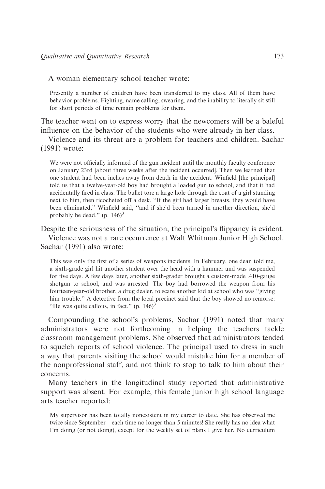A woman elementary school teacher wrote:

Presently a number of children have been transferred to my class. All of them have behavior problems. Fighting, name calling, swearing, and the inability to literally sit still for short periods of time remain problems for them.

The teacher went on to express worry that the newcomers will be a baleful influence on the behavior of the students who were already in her class.

Violence and its threat are a problem for teachers and children. Sachar (1991) wrote:

We were not officially informed of the gun incident until the monthly faculty conference on January 23rd [about three weeks after the incident occurred]. Then we learned that one student had been inches away from death in the accident. Winfield [the principal] told us that a twelve-year-old boy had brought a loaded gun to school, and that it had accidentally fired in class. The bullet tore a large hole through the coat of a girl standing next to him, then ricocheted off a desk. ''If the girl had larger breasts, they would have been eliminated,'' Winfield said, ''and if she'd been turned in another direction, she'd probably be dead."  $(p. 146)^3$ 

Despite the seriousness of the situation, the principal's flippancy is evident. Violence was not a rare occurrence at Walt Whitman Junior High School. Sachar (1991) also wrote:

This was only the first of a series of weapons incidents. In February, one dean told me, a sixth-grade girl hit another student over the head with a hammer and was suspended for five days. A few days later, another sixth-grader brought a custom-made .410-gauge shotgun to school, and was arrested. The boy had borrowed the weapon from his fourteen-year-old brother, a drug dealer, to scare another kid at school who was ''giving him trouble.'' A detective from the local precinct said that the boy showed no remorse: "He was quite callous, in fact."  $(p. 146)^3$ 

Compounding the school's problems, Sachar (1991) noted that many administrators were not forthcoming in helping the teachers tackle classroom management problems. She observed that administrators tended to squelch reports of school violence. The principal used to dress in such a way that parents visiting the school would mistake him for a member of the nonprofessional staff, and not think to stop to talk to him about their concerns.

Many teachers in the longitudinal study reported that administrative support was absent. For example, this female junior high school language arts teacher reported:

My supervisor has been totally nonexistent in my career to date. She has observed me twice since September – each time no longer than 5 minutes! She really has no idea what I'm doing (or not doing), except for the weekly set of plans I give her. No curriculum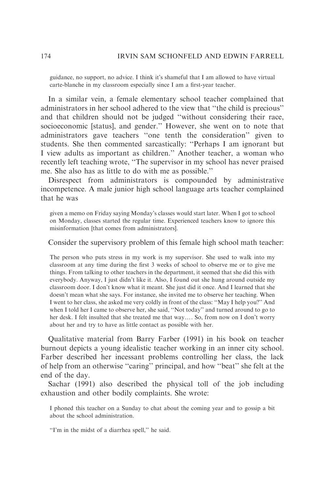guidance, no support, no advice. I think it's shameful that I am allowed to have virtual carte-blanche in my classroom especially since I am a first-year teacher.

In a similar vein, a female elementary school teacher complained that administrators in her school adhered to the view that ''the child is precious'' and that children should not be judged ''without considering their race, socioeconomic [status], and gender.'' However, she went on to note that administrators gave teachers ''one tenth the consideration'' given to students. She then commented sarcastically: ''Perhaps I am ignorant but I view adults as important as children.'' Another teacher, a woman who recently left teaching wrote, ''The supervisor in my school has never praised me. She also has as little to do with me as possible.''

Disrespect from administrators is compounded by administrative incompetence. A male junior high school language arts teacher complained that he was

given a memo on Friday saying Monday's classes would start later. When I got to school on Monday, classes started the regular time. Experienced teachers know to ignore this misinformation [that comes from administrators].

Consider the supervisory problem of this female high school math teacher:

The person who puts stress in my work is my supervisor. She used to walk into my classroom at any time during the first 3 weeks of school to observe me or to give me things. From talking to other teachers in the department, it seemed that she did this with everybody. Anyway, I just didn't like it. Also, I found out she hung around outside my classroom door. I don't know what it meant. She just did it once. And I learned that she doesn't mean what she says. For instance, she invited me to observe her teaching. When I went to her class, she asked me very coldly in front of the class: ''May I help you?'' And when I told her I came to observe her, she said, ''Not today'' and turned around to go to her desk. I felt insulted that she treated me that way.... So, from now on I don't worry about her and try to have as little contact as possible with her.

Qualitative material from Barry Farber (1991) in his book on teacher burnout depicts a young idealistic teacher working in an inner city school. Farber described her incessant problems controlling her class, the lack of help from an otherwise ''caring'' principal, and how ''beat'' she felt at the end of the day.

Sachar (1991) also described the physical toll of the job including exhaustion and other bodily complaints. She wrote:

I phoned this teacher on a Sunday to chat about the coming year and to gossip a bit about the school administration.

''I'm in the midst of a diarrhea spell,'' he said.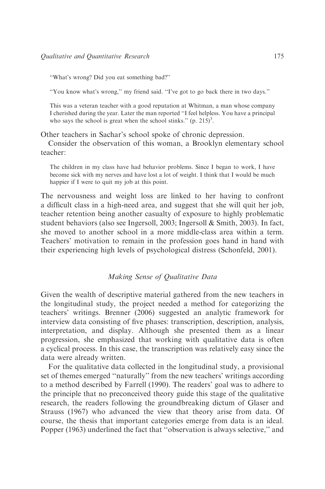''What's wrong? Did you eat something bad?''

''You know what's wrong,'' my friend said. ''I've got to go back there in two days.''

This was a veteran teacher with a good reputation at Whitman, a man whose company I cherished during the year. Later the man reported ''I feel helpless. You have a principal who says the school is great when the school stinks."  $(p. 215)^3$ .

Other teachers in Sachar's school spoke of chronic depression.

Consider the observation of this woman, a Brooklyn elementary school teacher:

The children in my class have had behavior problems. Since I began to work, I have become sick with my nerves and have lost a lot of weight. I think that I would be much happier if I were to quit my job at this point.

The nervousness and weight loss are linked to her having to confront a difficult class in a high-need area, and suggest that she will quit her job, teacher retention being another casualty of exposure to highly problematic student behaviors (also see Ingersoll, 2003; Ingersoll & Smith, 2003). In fact, she moved to another school in a more middle-class area within a term. Teachers' motivation to remain in the profession goes hand in hand with their experiencing high levels of psychological distress (Schonfeld, 2001).

#### Making Sense of Qualitative Data

Given the wealth of descriptive material gathered from the new teachers in the longitudinal study, the project needed a method for categorizing the teachers' writings. Brenner (2006) suggested an analytic framework for interview data consisting of five phases: transcription, description, analysis, interpretation, and display. Although she presented them as a linear progression, she emphasized that working with qualitative data is often a cyclical process. In this case, the transcription was relatively easy since the data were already written.

For the qualitative data collected in the longitudinal study, a provisional set of themes emerged ''naturally'' from the new teachers' writings according to a method described by Farrell (1990). The readers' goal was to adhere to the principle that no preconceived theory guide this stage of the qualitative research, the readers following the groundbreaking dictum of Glaser and Strauss (1967) who advanced the view that theory arise from data. Of course, the thesis that important categories emerge from data is an ideal. Popper (1963) underlined the fact that ''observation is always selective,'' and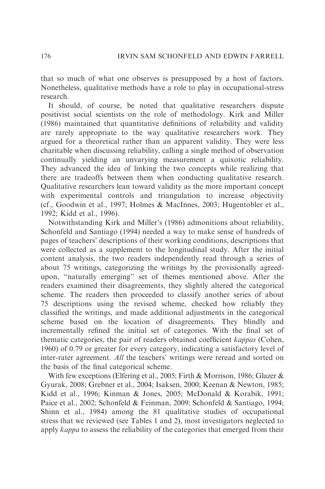that so much of what one observes is presupposed by a host of factors. Nonetheless, qualitative methods have a role to play in occupational-stress research.

It should, of course, be noted that qualitative researchers dispute positivist social scientists on the role of methodology. Kirk and Miller (1986) maintained that quantitative definitions of reliability and validity are rarely appropriate to the way qualitative researchers work. They argued for a theoretical rather than an apparent validity. They were less charitable when discussing reliability, calling a single method of observation continually yielding an unvarying measurement a quixotic reliability. They advanced the idea of linking the two concepts while realizing that there are tradeoffs between them when conducting qualitative research. Qualitative researchers lean toward validity as the more important concept with experimental controls and triangulation to increase objectivity (cf., Goodwin et al., 1997; Holmes & MacInnes, 2003; Hugentobler et al., 1992; Kidd et al., 1996).

Notwithstanding Kirk and Miller's (1986) admonitions about reliability, Schonfeld and Santiago (1994) needed a way to make sense of hundreds of pages of teachers' descriptions of their working conditions, descriptions that were collected as a supplement to the longitudinal study. After the initial content analysis, the two readers independently read through a series of about 75 writings, categorizing the writings by the provisionally agreedupon, ''naturally emerging'' set of themes mentioned above. After the readers examined their disagreements, they slightly altered the categorical scheme. The readers then proceeded to classify another series of about 75 descriptions using the revised scheme, checked how reliably they classified the writings, and made additional adjustments in the categorical scheme based on the location of disagreements. They blindly and incrementally refined the initial set of categories. With the final set of thematic categories, the pair of readers obtained coefficient kappas (Cohen, 1960) of 0.79 or greater for every category, indicating a satisfactory level of inter-rater agreement. All the teachers' writings were reread and sorted on the basis of the final categorical scheme.

With few exceptions (Elfering et al., 2005; Firth & Morrison, 1986; Glazer & Gyurak, 2008; Grebner et al., 2004; Isaksen, 2000; Keenan & Newton, 1985; Kidd et al., 1996; Kinman & Jones, 2005; McDonald & Korabik, 1991; Paice et al., 2002; Schonfeld & Feinman, 2009; Schonfeld & Santiago, 1994; Shinn et al., 1984) among the 81 qualitative studies of occupational stress that we reviewed (see Tables 1 and 2), most investigators neglected to apply *kappa* to assess the reliability of the categories that emerged from their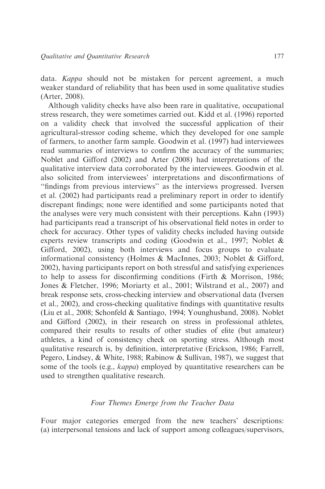data. Kappa should not be mistaken for percent agreement, a much weaker standard of reliability that has been used in some qualitative studies (Arter, 2008).

Although validity checks have also been rare in qualitative, occupational stress research, they were sometimes carried out. Kidd et al. (1996) reported on a validity check that involved the successful application of their agricultural-stressor coding scheme, which they developed for one sample of farmers, to another farm sample. Goodwin et al. (1997) had interviewees read summaries of interviews to confirm the accuracy of the summaries; Noblet and Gifford (2002) and Arter (2008) had interpretations of the qualitative interview data corroborated by the interviewees. Goodwin et al. also solicited from interviewees' interpretations and disconfirmations of ''findings from previous interviews'' as the interviews progressed. Iversen et al. (2002) had participants read a preliminary report in order to identify discrepant findings; none were identified and some participants noted that the analyses were very much consistent with their perceptions. Kahn (1993) had participants read a transcript of his observational field notes in order to check for accuracy. Other types of validity checks included having outside experts review transcripts and coding (Goodwin et al., 1997; Noblet & Gifford, 2002), using both interviews and focus groups to evaluate informational consistency (Holmes & MacInnes, 2003; Noblet & Gifford, 2002), having participants report on both stressful and satisfying experiences to help to assess for disconfirming conditions (Firth & Morrison, 1986; Jones & Fletcher, 1996; Moriarty et al., 2001; Wilstrand et al., 2007) and break response sets, cross-checking interview and observational data (Iversen et al., 2002), and cross-checking qualitative findings with quantitative results (Liu et al., 2008; Schonfeld & Santiago, 1994; Younghusband, 2008). Noblet and Gifford (2002), in their research on stress in professional athletes, compared their results to results of other studies of elite (but amateur) athletes, a kind of consistency check on sporting stress. Although most qualitative research is, by definition, interpretative (Erickson, 1986; Farrell, Pegero, Lindsey, & White, 1988; Rabinow & Sullivan, 1987), we suggest that some of the tools (e.g., *kappa*) employed by quantitative researchers can be used to strengthen qualitative research.

#### Four Themes Emerge from the Teacher Data

Four major categories emerged from the new teachers' descriptions: (a) interpersonal tensions and lack of support among colleagues/supervisors,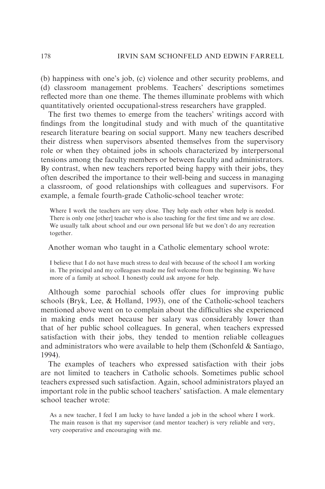(b) happiness with one's job, (c) violence and other security problems, and (d) classroom management problems. Teachers' descriptions sometimes reflected more than one theme. The themes illuminate problems with which quantitatively oriented occupational-stress researchers have grappled.

The first two themes to emerge from the teachers' writings accord with findings from the longitudinal study and with much of the quantitative research literature bearing on social support. Many new teachers described their distress when supervisors absented themselves from the supervisory role or when they obtained jobs in schools characterized by interpersonal tensions among the faculty members or between faculty and administrators. By contrast, when new teachers reported being happy with their jobs, they often described the importance to their well-being and success in managing a classroom, of good relationships with colleagues and supervisors. For example, a female fourth-grade Catholic-school teacher wrote:

Where I work the teachers are very close. They help each other when help is needed. There is only one [other] teacher who is also teaching for the first time and we are close. We usually talk about school and our own personal life but we don't do any recreation together.

Another woman who taught in a Catholic elementary school wrote:

I believe that I do not have much stress to deal with because of the school I am working in. The principal and my colleagues made me feel welcome from the beginning. We have more of a family at school. I honestly could ask anyone for help.

Although some parochial schools offer clues for improving public schools (Bryk, Lee, & Holland, 1993), one of the Catholic-school teachers mentioned above went on to complain about the difficulties she experienced in making ends meet because her salary was considerably lower than that of her public school colleagues. In general, when teachers expressed satisfaction with their jobs, they tended to mention reliable colleagues and administrators who were available to help them (Schonfeld  $&$  Santiago, 1994).

The examples of teachers who expressed satisfaction with their jobs are not limited to teachers in Catholic schools. Sometimes public school teachers expressed such satisfaction. Again, school administrators played an important role in the public school teachers' satisfaction. A male elementary school teacher wrote:

As a new teacher, I feel I am lucky to have landed a job in the school where I work. The main reason is that my supervisor (and mentor teacher) is very reliable and very, very cooperative and encouraging with me.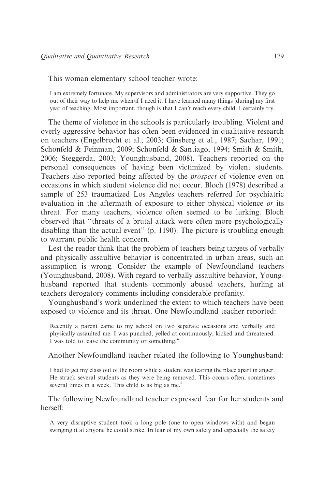This woman elementary school teacher wrote:

I am extremely fortunate. My supervisors and administrators are very supportive. They go out of their way to help me when/if I need it. I have learned many things [during] my first year of teaching. Most important, though is that I can't reach every child. I certainly try.

The theme of violence in the schools is particularly troubling. Violent and overly aggressive behavior has often been evidenced in qualitative research on teachers (Engelbrecht et al., 2003; Ginsberg et al., 1987; Sachar, 1991; Schonfeld & Feinman, 2009; Schonfeld & Santiago, 1994; Smith & Smith, 2006; Steggerda, 2003; Younghusband, 2008). Teachers reported on the personal consequences of having been victimized by violent students. Teachers also reported being affected by the prospect of violence even on occasions in which student violence did not occur. Bloch (1978) described a sample of 253 traumatized Los Angeles teachers referred for psychiatric evaluation in the aftermath of exposure to either physical violence or its threat. For many teachers, violence often seemed to be lurking. Bloch observed that ''threats of a brutal attack were often more psychologically disabling than the actual event'' (p. 1190). The picture is troubling enough to warrant public health concern.

Lest the reader think that the problem of teachers being targets of verbally and physically assaultive behavior is concentrated in urban areas, such an assumption is wrong. Consider the example of Newfoundland teachers (Younghusband, 2008). With regard to verbally assaultive behavior, Younghusband reported that students commonly abused teachers, hurling at teachers derogatory comments including considerable profanity.

Younghusband's work underlined the extent to which teachers have been exposed to violence and its threat. One Newfoundland teacher reported:

Recently a parent came to my school on two separate occasions and verbally and physically assaulted me. I was punched, yelled at continuously, kicked and threatened. I was told to leave the community or something.4

Another Newfoundland teacher related the following to Younghusband:

I had to get my class out of the room while a student was tearing the place apart in anger. He struck several students as they were being removed. This occurs often, sometimes several times in a week. This child is as big as me.<sup>4</sup>

The following Newfoundland teacher expressed fear for her students and herself:

A very disruptive student took a long pole (one to open windows with) and began swinging it at anyone he could strike. In fear of my own safety and especially the safety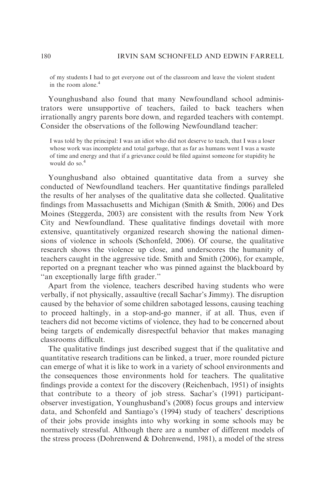of my students I had to get everyone out of the classroom and leave the violent student in the room alone.<sup>4</sup>

Younghusband also found that many Newfoundland school administrators were unsupportive of teachers, failed to back teachers when irrationally angry parents bore down, and regarded teachers with contempt. Consider the observations of the following Newfoundland teacher:

I was told by the principal: I was an idiot who did not deserve to teach, that I was a loser whose work was incomplete and total garbage, that as far as humans went I was a waste of time and energy and that if a grievance could be filed against someone for stupidity he would do so.<sup>4</sup>

Younghusband also obtained quantitative data from a survey she conducted of Newfoundland teachers. Her quantitative findings paralleled the results of her analyses of the qualitative data she collected. Qualitative findings from Massachusetts and Michigan (Smith & Smith, 2006) and Des Moines (Steggerda, 2003) are consistent with the results from New York City and Newfoundland. These qualitative findings dovetail with more extensive, quantitatively organized research showing the national dimensions of violence in schools (Schonfeld, 2006). Of course, the qualitative research shows the violence up close, and underscores the humanity of teachers caught in the aggressive tide. Smith and Smith (2006), for example, reported on a pregnant teacher who was pinned against the blackboard by ''an exceptionally large fifth grader.''

Apart from the violence, teachers described having students who were verbally, if not physically, assaultive (recall Sachar's Jimmy). The disruption caused by the behavior of some children sabotaged lessons, causing teaching to proceed haltingly, in a stop-and-go manner, if at all. Thus, even if teachers did not become victims of violence, they had to be concerned about being targets of endemically disrespectful behavior that makes managing classrooms difficult.

The qualitative findings just described suggest that if the qualitative and quantitative research traditions can be linked, a truer, more rounded picture can emerge of what it is like to work in a variety of school environments and the consequences those environments hold for teachers. The qualitative findings provide a context for the discovery (Reichenbach, 1951) of insights that contribute to a theory of job stress. Sachar's (1991) participantobserver investigation, Younghusband's (2008) focus groups and interview data, and Schonfeld and Santiago's (1994) study of teachers' descriptions of their jobs provide insights into why working in some schools may be normatively stressful. Although there are a number of different models of the stress process (Dohrenwend & Dohrenwend, 1981), a model of the stress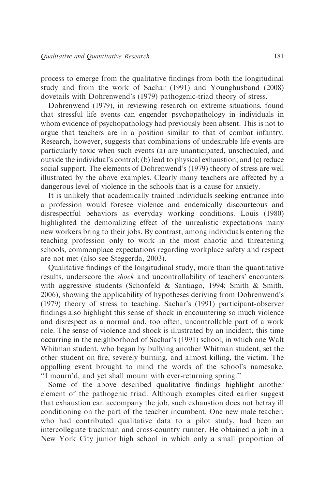process to emerge from the qualitative findings from both the longitudinal study and from the work of Sachar (1991) and Younghusband (2008) dovetails with Dohrenwend's (1979) pathogenic-triad theory of stress.

Dohrenwend (1979), in reviewing research on extreme situations, found that stressful life events can engender psychopathology in individuals in whom evidence of psychopathology had previously been absent. This is not to argue that teachers are in a position similar to that of combat infantry. Research, however, suggests that combinations of undesirable life events are particularly toxic when such events (a) are unanticipated, unscheduled, and outside the individual's control; (b) lead to physical exhaustion; and (c) reduce social support. The elements of Dohrenwend's (1979) theory of stress are well illustrated by the above examples. Clearly many teachers are affected by a dangerous level of violence in the schools that is a cause for anxiety.

It is unlikely that academically trained individuals seeking entrance into a profession would foresee violence and endemically discourteous and disrespectful behaviors as everyday working conditions. Louis (1980) highlighted the demoralizing effect of the unrealistic expectations many new workers bring to their jobs. By contrast, among individuals entering the teaching profession only to work in the most chaotic and threatening schools, commonplace expectations regarding workplace safety and respect are not met (also see Steggerda, 2003).

Qualitative findings of the longitudinal study, more than the quantitative results, underscore the *shock* and uncontrollability of teachers' encounters with aggressive students (Schonfeld & Santiago, 1994; Smith & Smith, 2006), showing the applicability of hypotheses deriving from Dohrenwend's (1979) theory of stress to teaching. Sachar's (1991) participant-observer findings also highlight this sense of shock in encountering so much violence and disrespect as a normal and, too often, uncontrollable part of a work role. The sense of violence and shock is illustrated by an incident, this time occurring in the neighborhood of Sachar's (1991) school, in which one Walt Whitman student, who began by bullying another Whitman student, set the other student on fire, severely burning, and almost killing, the victim. The appalling event brought to mind the words of the school's namesake, ''I mourn'd, and yet shall mourn with ever-returning spring.''

Some of the above described qualitative findings highlight another element of the pathogenic triad. Although examples cited earlier suggest that exhaustion can accompany the job, such exhaustion does not betray ill conditioning on the part of the teacher incumbent. One new male teacher, who had contributed qualitative data to a pilot study, had been an intercollegiate trackman and cross-country runner. He obtained a job in a New York City junior high school in which only a small proportion of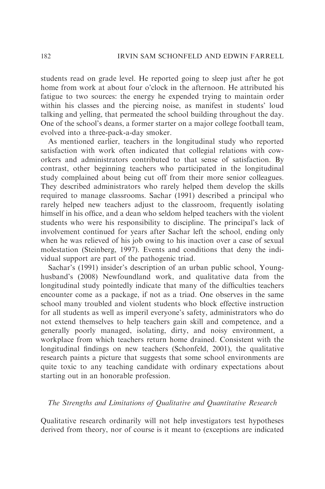students read on grade level. He reported going to sleep just after he got home from work at about four o'clock in the afternoon. He attributed his fatigue to two sources: the energy he expended trying to maintain order within his classes and the piercing noise, as manifest in students' loud talking and yelling, that permeated the school building throughout the day. One of the school's deans, a former starter on a major college football team, evolved into a three-pack-a-day smoker.

As mentioned earlier, teachers in the longitudinal study who reported satisfaction with work often indicated that collegial relations with coworkers and administrators contributed to that sense of satisfaction. By contrast, other beginning teachers who participated in the longitudinal study complained about being cut off from their more senior colleagues. They described administrators who rarely helped them develop the skills required to manage classrooms. Sachar (1991) described a principal who rarely helped new teachers adjust to the classroom, frequently isolating himself in his office, and a dean who seldom helped teachers with the violent students who were his responsibility to discipline. The principal's lack of involvement continued for years after Sachar left the school, ending only when he was relieved of his job owing to his inaction over a case of sexual molestation (Steinberg, 1997). Events and conditions that deny the individual support are part of the pathogenic triad.

Sachar's (1991) insider's description of an urban public school, Younghusband's (2008) Newfoundland work, and qualitative data from the longitudinal study pointedly indicate that many of the difficulties teachers encounter come as a package, if not as a triad. One observes in the same school many troubled and violent students who block effective instruction for all students as well as imperil everyone's safety, administrators who do not extend themselves to help teachers gain skill and competence, and a generally poorly managed, isolating, dirty, and noisy environment, a workplace from which teachers return home drained. Consistent with the longitudinal findings on new teachers (Schonfeld, 2001), the qualitative research paints a picture that suggests that some school environments are quite toxic to any teaching candidate with ordinary expectations about starting out in an honorable profession.

#### The Strengths and Limitations of Qualitative and Quantitative Research

Qualitative research ordinarily will not help investigators test hypotheses derived from theory, nor of course is it meant to (exceptions are indicated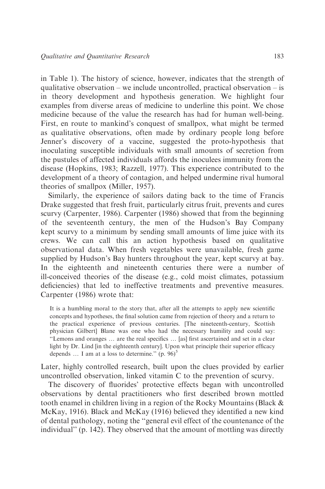in Table 1). The history of science, however, indicates that the strength of qualitative observation – we include uncontrolled, practical observation – is in theory development and hypothesis generation. We highlight four examples from diverse areas of medicine to underline this point. We chose medicine because of the value the research has had for human well-being. First, en route to mankind's conquest of smallpox, what might be termed as qualitative observations, often made by ordinary people long before Jenner's discovery of a vaccine, suggested the proto-hypothesis that inoculating susceptible individuals with small amounts of secretion from the pustules of affected individuals affords the inoculees immunity from the disease (Hopkins, 1983; Razzell, 1977). This experience contributed to the development of a theory of contagion, and helped undermine rival humoral theories of smallpox (Miller, 1957).

Similarly, the experience of sailors dating back to the time of Francis Drake suggested that fresh fruit, particularly citrus fruit, prevents and cures scurvy (Carpenter, 1986). Carpenter (1986) showed that from the beginning of the seventeenth century, the men of the Hudson's Bay Company kept scurvy to a minimum by sending small amounts of lime juice with its crews. We can call this an action hypothesis based on qualitative observational data. When fresh vegetables were unavailable, fresh game supplied by Hudson's Bay hunters throughout the year, kept scurvy at bay. In the eighteenth and nineteenth centuries there were a number of ill-conceived theories of the disease (e.g., cold moist climates, potassium deficiencies) that led to ineffective treatments and preventive measures. Carpenter (1986) wrote that:

It is a humbling moral to the story that, after all the attempts to apply new scientific concepts and hypotheses, the final solution came from rejection of theory and a return to the practical experience of previous centuries. [The nineteenth-century, Scottish physician Gilbert] Blane was one who had the necessary humility and could say: "Lemons and oranges ... are the real specifics ... [as] first ascertained and set in a clear light by Dr. Lind [in the eighteenth century]. Upon what principle their superior efficacy depends  $\ldots$  I am at a loss to determine." (p. 96)<sup>5</sup>

Later, highly controlled research, built upon the clues provided by earlier uncontrolled observation, linked vitamin C to the prevention of scurvy.

The discovery of fluorides' protective effects began with uncontrolled observations by dental practitioners who first described brown mottled tooth enamel in children living in a region of the Rocky Mountains (Black & McKay, 1916). Black and McKay (1916) believed they identified a new kind of dental pathology, noting the ''general evil effect of the countenance of the individual'' (p. 142). They observed that the amount of mottling was directly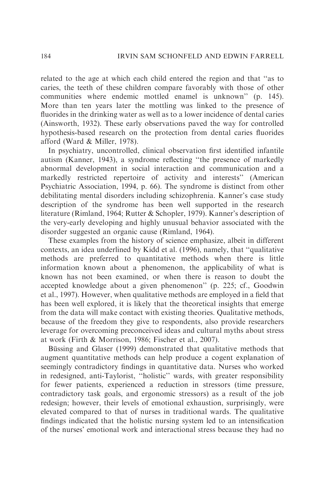related to the age at which each child entered the region and that ''as to caries, the teeth of these children compare favorably with those of other communities where endemic mottled enamel is unknown'' (p. 145). More than ten years later the mottling was linked to the presence of fluorides in the drinking water as well as to a lower incidence of dental caries (Ainsworth, 1932). These early observations paved the way for controlled hypothesis-based research on the protection from dental caries fluorides afford (Ward & Miller, 1978).

In psychiatry, uncontrolled, clinical observation first identified infantile autism (Kanner, 1943), a syndrome reflecting ''the presence of markedly abnormal development in social interaction and communication and a markedly restricted repertoire of activity and interests'' (American Psychiatric Association, 1994, p. 66). The syndrome is distinct from other debilitating mental disorders including schizophrenia. Kanner's case study description of the syndrome has been well supported in the research literature (Rimland, 1964; Rutter & Schopler, 1979). Kanner's description of the very-early developing and highly unusual behavior associated with the disorder suggested an organic cause (Rimland, 1964).

These examples from the history of science emphasize, albeit in different contexts, an idea underlined by Kidd et al. (1996), namely, that ''qualitative methods are preferred to quantitative methods when there is little information known about a phenomenon, the applicability of what is known has not been examined, or when there is reason to doubt the accepted knowledge about a given phenomenon'' (p. 225; cf., Goodwin et al., 1997). However, when qualitative methods are employed in a field that has been well explored, it is likely that the theoretical insights that emerge from the data will make contact with existing theories. Qualitative methods, because of the freedom they give to respondents, also provide researchers leverage for overcoming preconceived ideas and cultural myths about stress at work (Firth & Morrison, 1986; Fischer et al., 2007).

Büssing and Glaser (1999) demonstrated that qualitative methods that augment quantitative methods can help produce a cogent explanation of seemingly contradictory findings in quantitative data. Nurses who worked in redesigned, anti-Taylorist, ''holistic'' wards, with greater responsibility for fewer patients, experienced a reduction in stressors (time pressure, contradictory task goals, and ergonomic stressors) as a result of the job redesign; however, their levels of emotional exhaustion, surprisingly, were elevated compared to that of nurses in traditional wards. The qualitative findings indicated that the holistic nursing system led to an intensification of the nurses' emotional work and interactional stress because they had no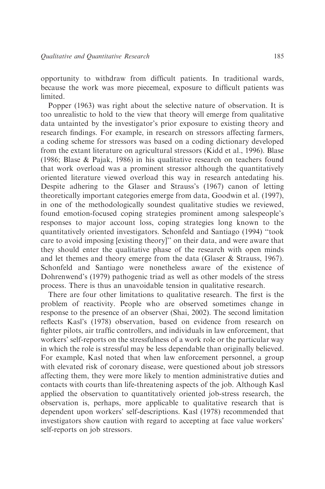opportunity to withdraw from difficult patients. In traditional wards, because the work was more piecemeal, exposure to difficult patients was limited.

Popper (1963) was right about the selective nature of observation. It is too unrealistic to hold to the view that theory will emerge from qualitative data untainted by the investigator's prior exposure to existing theory and research findings. For example, in research on stressors affecting farmers, a coding scheme for stressors was based on a coding dictionary developed from the extant literature on agricultural stressors (Kidd et al., 1996). Blase (1986; Blase & Pajak, 1986) in his qualitative research on teachers found that work overload was a prominent stressor although the quantitatively oriented literature viewed overload this way in research antedating his. Despite adhering to the Glaser and Strauss's (1967) canon of letting theoretically important categories emerge from data, Goodwin et al. (1997), in one of the methodologically soundest qualitative studies we reviewed, found emotion-focused coping strategies prominent among salespeople's responses to major account loss, coping strategies long known to the quantitatively oriented investigators. Schonfeld and Santiago (1994) ''took care to avoid imposing [existing theory]'' on their data, and were aware that they should enter the qualitative phase of the research with open minds and let themes and theory emerge from the data (Glaser & Strauss, 1967). Schonfeld and Santiago were nonetheless aware of the existence of Dohrenwend's (1979) pathogenic triad as well as other models of the stress process. There is thus an unavoidable tension in qualitative research.

There are four other limitations to qualitative research. The first is the problem of reactivity. People who are observed sometimes change in response to the presence of an observer (Shai, 2002). The second limitation reflects Kasl's (1978) observation, based on evidence from research on fighter pilots, air traffic controllers, and individuals in law enforcement, that workers' self-reports on the stressfulness of a work role or the particular way in which the role is stressful may be less dependable than originally believed. For example, Kasl noted that when law enforcement personnel, a group with elevated risk of coronary disease, were questioned about job stressors affecting them, they were more likely to mention administrative duties and contacts with courts than life-threatening aspects of the job. Although Kasl applied the observation to quantitatively oriented job-stress research, the observation is, perhaps, more applicable to qualitative research that is dependent upon workers' self-descriptions. Kasl (1978) recommended that investigators show caution with regard to accepting at face value workers' self-reports on job stressors.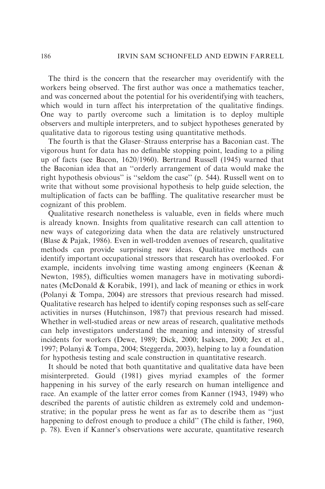The third is the concern that the researcher may overidentify with the workers being observed. The first author was once a mathematics teacher, and was concerned about the potential for his overidentifying with teachers, which would in turn affect his interpretation of the qualitative findings. One way to partly overcome such a limitation is to deploy multiple observers and multiple interpreters, and to subject hypotheses generated by qualitative data to rigorous testing using quantitative methods.

The fourth is that the Glaser–Strauss enterprise has a Baconian cast. The vigorous hunt for data has no definable stopping point, leading to a piling up of facts (see Bacon, 1620/1960). Bertrand Russell (1945) warned that the Baconian idea that an ''orderly arrangement of data would make the right hypothesis obvious'' is ''seldom the case'' (p. 544). Russell went on to write that without some provisional hypothesis to help guide selection, the multiplication of facts can be baffling. The qualitative researcher must be cognizant of this problem.

Qualitative research nonetheless is valuable, even in fields where much is already known. Insights from qualitative research can call attention to new ways of categorizing data when the data are relatively unstructured (Blase & Pajak, 1986). Even in well-trodden avenues of research, qualitative methods can provide surprising new ideas. Qualitative methods can identify important occupational stressors that research has overlooked. For example, incidents involving time wasting among engineers (Keenan & Newton, 1985), difficulties women managers have in motivating subordinates (McDonald & Korabik, 1991), and lack of meaning or ethics in work (Polanyi & Tompa, 2004) are stressors that previous research had missed. Qualitative research has helped to identify coping responses such as self-care activities in nurses (Hutchinson, 1987) that previous research had missed. Whether in well-studied areas or new areas of research, qualitative methods can help investigators understand the meaning and intensity of stressful incidents for workers (Dewe, 1989; Dick, 2000; Isaksen, 2000; Jex et al., 1997; Polanyi & Tompa, 2004; Steggerda, 2003), helping to lay a foundation for hypothesis testing and scale construction in quantitative research.

It should be noted that both quantitative and qualitative data have been misinterpreted. Gould (1981) gives myriad examples of the former happening in his survey of the early research on human intelligence and race. An example of the latter error comes from Kanner (1943, 1949) who described the parents of autistic children as extremely cold and undemonstrative; in the popular press he went as far as to describe them as ''just happening to defrost enough to produce a child'' (The child is father, 1960, p. 78). Even if Kanner's observations were accurate, quantitative research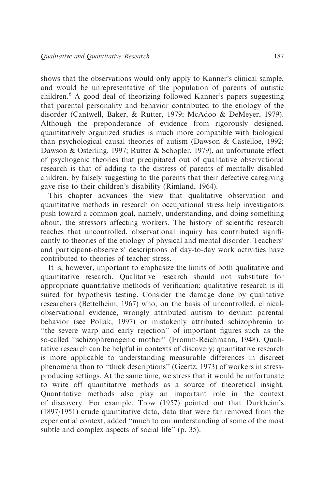shows that the observations would only apply to Kanner's clinical sample, and would be unrepresentative of the population of parents of autistic children.<sup>6</sup> A good deal of theorizing followed Kanner's papers suggesting that parental personality and behavior contributed to the etiology of the disorder (Cantwell, Baker, & Rutter, 1979; McAdoo & DeMeyer, 1979). Although the preponderance of evidence from rigorously designed, quantitatively organized studies is much more compatible with biological than psychological causal theories of autism (Dawson & Castelloe, 1992; Dawson & Osterling, 1997; Rutter & Schopler, 1979), an unfortunate effect of psychogenic theories that precipitated out of qualitative observational research is that of adding to the distress of parents of mentally disabled children, by falsely suggesting to the parents that their defective caregiving gave rise to their children's disability (Rimland, 1964).

This chapter advances the view that qualitative observation and quantitative methods in research on occupational stress help investigators push toward a common goal, namely, understanding, and doing something about, the stressors affecting workers. The history of scientific research teaches that uncontrolled, observational inquiry has contributed significantly to theories of the etiology of physical and mental disorder. Teachers' and participant-observers' descriptions of day-to-day work activities have contributed to theories of teacher stress.

It is, however, important to emphasize the limits of both qualitative and quantitative research. Qualitative research should not substitute for appropriate quantitative methods of verification; qualitative research is ill suited for hypothesis testing. Consider the damage done by qualitative researchers (Bettelheim, 1967) who, on the basis of uncontrolled, clinicalobservational evidence, wrongly attributed autism to deviant parental behavior (see Pollak, 1997) or mistakenly attributed schizophrenia to ''the severe warp and early rejection'' of important figures such as the so-called ''schizophrenogenic mother'' (Fromm-Reichmann, 1948). Qualitative research can be helpful in contexts of discovery; quantitative research is more applicable to understanding measurable differences in discreet phenomena than to ''thick descriptions'' (Geertz, 1973) of workers in stressproducing settings. At the same time, we stress that it would be unfortunate to write off quantitative methods as a source of theoretical insight. Quantitative methods also play an important role in the context of discovery. For example, Trow (1957) pointed out that Durkheim's (1897/1951) crude quantitative data, data that were far removed from the experiential context, added ''much to our understanding of some of the most subtle and complex aspects of social life'' (p. 35).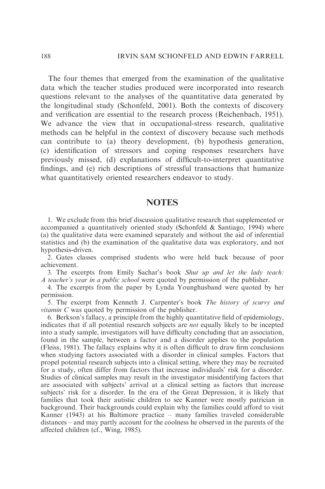The four themes that emerged from the examination of the qualitative data which the teacher studies produced were incorporated into research questions relevant to the analyses of the quantitative data generated by the longitudinal study (Schonfeld, 2001). Both the contexts of discovery and verification are essential to the research process (Reichenbach, 1951). We advance the view that in occupational-stress research, qualitative methods can be helpful in the context of discovery because such methods can contribute to (a) theory development, (b) hypothesis generation, (c) identification of stressors and coping responses researchers have previously missed, (d) explanations of difficult-to-interpret quantitative findings, and (e) rich descriptions of stressful transactions that humanize what quantitatively oriented researchers endeavor to study.

#### **NOTES**

1. We exclude from this brief discussion qualitative research that supplemented or accompanied a quantitatively oriented study (Schonfeld  $&$  Santiago, 1994) where (a) the qualitative data were examined separately and without the aid of inferential statistics and (b) the examination of the qualitative data was exploratory, and not hypothesis-driven.

2. Gates classes comprised students who were held back because of poor achievement.

3. The excerpts from Emily Sachar's book Shut up and let the lady teach: A teacher's year in a public school were quoted by permission of the publisher.

4. The excerpts from the paper by Lynda Younghusband were quoted by her permission.

5. The excerpt from Kenneth J. Carpenter's book The history of scurvy and  $vitamin$   $C$  was quoted by permission of the publisher.

6. Berkson's fallacy, a principle from the highly quantitative field of epidemiology, indicates that if all potential research subjects are not equally likely to be incepted into a study sample, investigators will have difficulty concluding that an association, found in the sample, between a factor and a disorder applies to the population (Fleiss, 1981). The fallacy explains why it is often difficult to draw firm conclusions when studying factors associated with a disorder in clinical samples. Factors that propel potential research subjects into a clinical setting, where they may be recruited for a study, often differ from factors that increase individuals' risk for a disorder. Studies of clinical samples may result in the investigator misidentifying factors that are associated with subjects' arrival at a clinical setting as factors that increase subjects' risk for a disorder. In the era of the Great Depression, it is likely that families that took their autistic children to see Kanner were mostly patrician in background. Their backgrounds could explain why the families could afford to visit Kanner (1943) at his Baltimore practice – many families traveled considerable distances – and may partly account for the coolness he observed in the parents of the affected children (cf., Wing, 1985).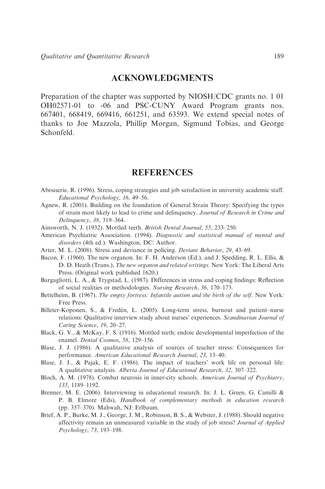#### ACKNOWLEDGMENTS

Preparation of the chapter was supported by NIOSH/CDC grants no. 1 01 OH02571-01 to -06 and PSC-CUNY Award Program grants nos. 667401, 668419, 669416, 661251, and 63593. We extend special notes of thanks to Joe Mazzola, Phillip Morgan, Sigmund Tobias, and George **Schonfeld** 

#### **REFERENCES**

- Abouserie, R. (1996). Stress, coping strategies and job satisfaction in university academic staff. Educational Psychology, 16, 49–56.
- Agnew, R. (2001). Building on the foundation of General Strain Theory: Specifying the types of strain most likely to lead to crime and delinquency. Journal of Research in Crime and Delinquency, 38, 319–364.
- Ainsworth, N. J. (1932). Mottled teeth. British Dental Journal, 55, 233–250.
- American Psychiatric Association. (1994). Diagnostic and statistical manual of mental and disorders (4th ed.). Washington, DC: Author.
- Arter, M. L. (2008). Stress and deviance in policing. Deviant Behavior, 29, 43–69.
- Bacon, F. (1960). The new organon. In: F. H. Anderson (Ed.), and J. Spedding, R. L. Ellis, & D. D. Heath (Trans.), The new organon and related writings. New York: The Liberal Arts Press. (Original work published 1620.)
- Bargagliotti, L. A., & Trygstad, L. (1987). Differences in stress and coping findings: Reflection of social realities or methodologies. Nursing Research, 36, 170–173.
- Bettelheim, B. (1967). The empty fortress: Infantile autism and the birth of the self. New York: Free Press.
- Billeter-Koponen, S., & Fredén, L. (2005). Long-term stress, burnout and patient–nurse relations: Qualitative interview study about nurses' experiences. Scandinavian Journal of Caring Science, 19, 20–27.
- Black, G. V., & McKay, F. S. (1916). Mottled teeth; endoic developmental imperfection of the enamel. Dental Cosmos, 58, 129-156.
- Blase, J. J. (1986). A qualitative analysis of sources of teacher stress: Consequences for performance. American Educational Research Journal, 23, 13–40.
- Blase, J. J., & Pajak, E. F. (1986). The impact of teachers' work life on personal life: A qualitative analysis. Alberta Journal of Educational Research, 32, 307–322.
- Bloch, A. M. (1978). Combat neurosis in inner-city schools. American Journal of Psychiatry, 135, 1189–1192.
- Brenner, M. E. (2006). Interviewing in educational research. In: J. L. Green, G. Camilli & P. B. Elmore (Eds), Handbook of complementary methods in education research (pp. 357–370). Mahwah, NJ: Erlbaum.
- Brief, A. P., Burke, M. J., George, J. M., Robinson, B. S., & Webster, J. (1988). Should negative affectivity remain an unmeasured variable in the study of job stress? Journal of Applied Psychology, 73, 193–198.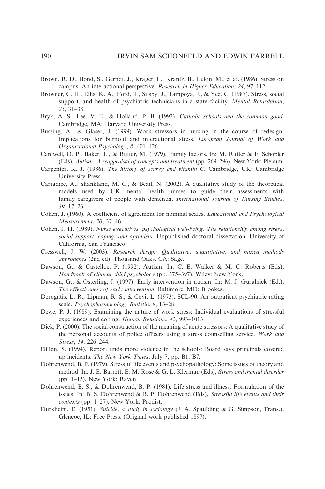- Brown, R. D., Bond, S., Gerndt, J., Krager, L., Krantz, B., Lukin, M., et al. (1986). Stress on campus: An interactional perspective. Research in Higher Education, 24, 97–112.
- Browner, C. H., Ellis, K. A., Ford, T., Silsby, J., Tampoya, J., & Yee, C. (1987). Stress, social support, and health of psychiatric technicians in a state facility. *Mental Retardation*, 25, 31–38.
- Bryk, A. S., Lee, V. E., & Holland, P. B. (1993). Catholic schools and the common good. Cambridge, MA: Harvard University Press.
- Büssing, A., & Glaser, J. (1999). Work stressors in nursing in the course of redesign: Implications for burnout and interactional stress. European Journal of Work and Organizational Psychology, 8, 401–426.
- Cantwell, D. P., Baker, L., & Rutter, M. (1979). Family factors. In: M. Rutter & E. Schopler (Eds), Autism: A reappraisal of concepts and treatment (pp. 269–296). New York: Plenum.
- Carpenter, K. J. (1986). The history of scurvy and vitamin C. Cambridge, UK: Cambridge University Press.
- Carradice, A., Shankland, M. C., & Beail, N. (2002). A qualitative study of the theoretical models used by UK mental health nurses to guide their assessments with family caregivers of people with dementia. International Journal of Nursing Studies, 39, 17–26.
- Cohen, J. (1960). A coefficient of agreement for nominal scales. Educational and Psychological Measurement, 20, 37–46.
- Cohen, J. H. (1989). Nurse executives' psychological well-being: The relationship among stress, social support, coping, and optimism. Unpublished doctoral dissertation. University of California, San Francisco.
- Cresswell, J. W. (2003). Research design: Qualitative, quantitative, and mixed methods approaches (2nd ed). Thousand Oaks, CA: Sage.
- Dawson, G., & Castelloe, P. (1992). Autism. In: C. E. Walker & M. C. Roberts (Eds), Handbook of clinical child psychology (pp. 375–397). Wiley: New York.
- Dawson, G., & Osterling, J. (1997). Early intervention in autism. In: M. J. Guralnick (Ed.), The effectiveness of early intervention. Baltimore, MD: Brookes.
- Derogatis, L. R., Lipman, R. S., & Covi, L. (1973). SCL-90: An outpatient psychiatric rating scale. Psychopharmacology Bulletin, 9, 13-28.
- Dewe, P. J. (1989). Examining the nature of work stress: Individual evaluations of stressful experiences and coping. Human Relations, 42, 993-1013.
- Dick, P. (2000). The social construction of the meaning of acute stressors: A qualitative study of the personal accounts of police officers using a stress counselling service. Work and Stress, 14, 226–244.
- Dillon, S. (1994). Report finds more violence in the schools: Board says principals covered up incidents. The New York Times, July 7, pp. B1, B7.
- Dohrenwend, B. P. (1979). Stressful life events and psychopathology: Some issues of theory and method. In: J. E. Barrett, E. M. Rose & G. L. Klerman (Eds), Stress and mental disorder (pp. 1–15). New York: Raven.
- Dohrenwend, B. S., & Dohrenwend, B. P. (1981). Life stress and illness: Formulation of the issues. In: B. S. Dohrenwend & B. P. Dohrenwend (Eds), Stressful life events and their contexts (pp. 1–27). New York: Prodist.
- Durkheim, E. (1951). Suicide, a study in sociology (J. A. Spaulding & G. Simpson, Trans.). Glencoe, IL: Free Press. (Original work published 1897).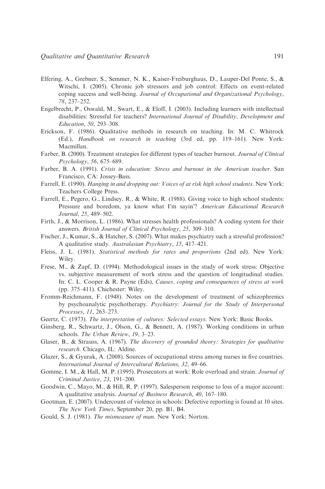- Elfering, A., Grebner, S., Semmer, N. K., Kaiser-Freiburghaus, D., Lauper-Del Ponte, S., & Witschi, I. (2005). Chronic job stressors and job control: Effects on event-related coping success and well-being. Journal of Occupational and Organizational Psychology, 78, 237–252.
- Engelbrecht, P., Oswald, M., Swart, E., & Eloff, I. (2003). Including learners with intellectual disabilities: Stressful for teachers? International Journal of Disability, Development and Education, 50, 293–308.
- Erickson, F. (1986). Qualitative methods in research on teaching. In: M. C. Whitrock (Ed.), Handbook on research in teaching (3rd ed, pp. 119–161). New York: Macmillan.
- Farber, B. (2000). Treatment strategies for different types of teacher burnout. Journal of Clinical Psychology, 56, 675–689.
- Farber, B. A. (1991). Crisis in education: Stress and burnout in the American teacher. San Francisco, CA: Jossey-Bass.
- Farrell, E. (1990). Hanging in and dropping out: Voices of at risk high school students. New York: Teachers College Press.
- Farrell, E., Pegero, G., Lindsey, R., & White, R. (1988). Giving voice to high school students: Pressure and boredom, ya know what I'm sayin'? American Educational Research Journal, 25, 489–502.
- Firth, J., & Morrison, L. (1986). What stresses health professionals? A coding system for their answers. British Journal of Clinical Psychology, 25, 309–310.
- Fischer, J., Kumar, S., & Hatcher, S. (2007). What makes psychiatry such a stressful profession? A qualitative study. Australasian Psychiatry, 15, 417–421.
- Fleiss, J. L. (1981). Statistical methods for rates and proportions (2nd ed). New York: Wiley.
- Frese, M., & Zapf, D. (1994). Methodological issues in the study of work stress: Objective vs. subjective measurement of work stress and the question of longitudinal studies. In: C. L. Cooper & R. Payne (Eds), Causes, coping and consequences of stress at work (pp. 375–411). Chichester: Wiley.
- Fromm-Reichmann, F. (1948). Notes on the development of treatment of schizophrenics by psychoanalytic psychotherapy. Psychiatry: Journal for the Study of Interpersonal Processes, 11, 263–273.
- Geertz, C. (1973). The interpretation of cultures: Selected essays. New York: Basic Books.
- Ginsberg, R., Schwartz, J., Olson, G., & Bennett, A. (1987). Working conditions in urban schools. The Urban Review, 19, 3-23.
- Glaser, B., & Strauss, A. (1967). The discovery of grounded theory: Strategies for qualitative research. Chicago, IL: Aldine.
- Glazer, S., & Gyurak, A. (2008). Sources of occupational stress among nurses in five countries. International Journal of Intercultural Relations, 32, 49–66.
- Gomme, I. M., & Hall, M. P. (1995). Prosecutors at work: Role overload and strain. Journal of Criminal Justice, 23, 191–200.
- Goodwin, C., Mayo, M., & Hill, R. P. (1997). Salesperson response to loss of a major account: A qualitative analysis. Journal of Business Research, 40, 167–180.
- Gootman, E. (2007). Undercount of violence in schools: Defective reporting is found at 10 sites. The New York Times, September 20, pp. B1, B4.
- Gould, S. J. (1981). The mismeasure of man. New York: Norton.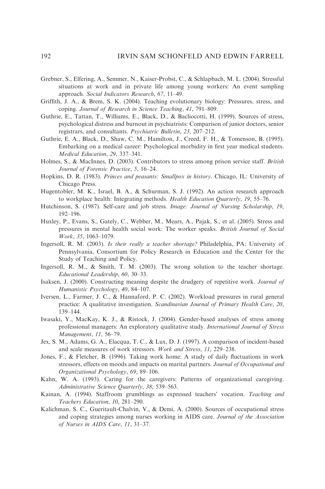- Grebner, S., Elfering, A., Semmer, N., Kaiser-Probst, C., & Schlapbach, M. L. (2004). Stressful situations at work and in private life among young workers: An event sampling approach. Social Indicators Research, 67, 11–49.
- Griffith, J. A., & Brem, S. K. (2004). Teaching evolutionary biology: Pressures, stress, and coping. Journal of Research in Science Teaching, 41, 791–809.
- Guthrie, E., Tattan, T., Williams, E., Black, D., & Bacliocotti, H. (1999). Sources of stress, psychological distress and burnout in psychiatrists: Comparison of junior doctors, senior registrars, and consultants. Psychiatric Bulletin, 23, 207–212.
- Guthrie, E. A., Black, D., Shaw, C. M., Hamilton, J., Creed, F. H., & Tomenson, B. (1995). Embarking on a medical career: Psychological morbidity in first year medical students. Medical Education, 29, 337–341.
- Holmes, S., & MacInnes, D. (2003). Contributors to stress among prison service staff. *British* Journal of Forensic Practice, 5, 16–24.
- Hopkins, D. R. (1983). Princes and peasants: Smallpox in history. Chicago, IL: University of Chicago Press.
- Hugentobler, M. K., Israel, B. A., & Schurman, S. J. (1992). An action research approach to workplace health: Integrating methods. Health Education Quarterly, 19, 55–76.
- Hutchinson, S. (1987). Self-care and job stress. Image: Journal of Nursing Scholarship, 19, 192–196.
- Huxley, P., Evans, S., Gately, C., Webber, M., Mears, A., Pajak, S., et al. (2005). Stress and pressures in mental health social work: The worker speaks. British Journal of Social Work, 35, 1063–1079.
- Ingersoll, R. M. (2003). Is their really a teacher shortage? Philadelphia, PA: University of Pennsylvania, Consortium for Policy Research in Education and the Center for the Study of Teaching and Policy.
- Ingersoll, R. M., & Smith, T. M. (2003). The wrong solution to the teacher shortage. Educational Leadership, 60, 30–33.
- Isaksen, J. (2000). Constructing meaning despite the drudgery of repetitive work. Journal of Humanistic Psychology, 40, 84–107.
- Iversen, L., Farmer, J. C., & Hannaford, P. C. (2002). Workload pressures in rural general practice: A qualitative investigation. Scandinavian Journal of Primary Health Care, 20, 139–144.
- Iwasaki, Y., MacKay, K. J., & Ristock, J. (2004). Gender-based analyses of stress among professional managers: An exploratory qualitative study. International Journal of Stress Management, 11, 56–79.
- Jex, S. M., Adams, G. A., Elacqua, T. C., & Lux, D. J. (1997). A comparison of incident-based and scale measures of work stressors. Work and Stress, 11, 229–238.
- Jones, F., & Fletcher, B. (1996). Taking work home: A study of daily fluctuations in work stressors, effects on moods and impacts on marital partners. Journal of Occupational and Organizational Psychology, 69, 89–106.
- Kahn, W. A. (1993). Caring for the caregivers: Patterns of organizational caregiving. Administrative Science Quarterly, 38, 539–563.
- Kainan, A. (1994). Staffroom grumblings as expressed teachers' vocation. Teaching and Teachers Education, 10, 281–290.
- Kalichman, S. C., Gueritault-Chalvin, V., & Demi, A. (2000). Sources of occupational stress and coping strategies among nurses working in AIDS care. Journal of the Association of Nurses in AIDS Care, 11, 31–37.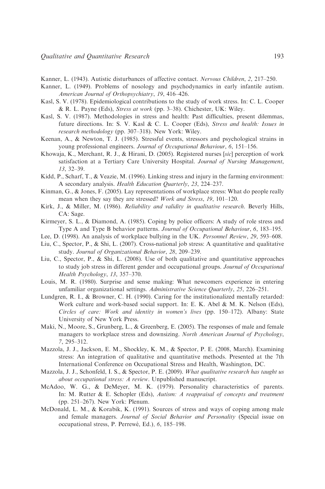- Kanner, L. (1943). Autistic disturbances of affective contact. Nervous Children, 2, 217–250.
- Kanner, L. (1949). Problems of nosology and psychodynamics in early infantile autism. American Journal of Orthopsychiatry, 19, 416–426.
- Kasl, S. V. (1978). Epidemiological contributions to the study of work stress. In: C. L. Cooper & R. L. Payne (Eds), Stress at work (pp. 3–38). Chichester, UK: Wiley.
- Kasl, S. V. (1987). Methodologies in stress and health: Past difficulties, present dilemmas, future directions. In: S. V. Kasl & C. L. Cooper (Eds), Stress and health: Issues in research methodology (pp. 307–318). New York: Wiley.
- Keenan, A., & Newton, T. J. (1985). Stressful events, stressors and psychological strains in young professional engineers. Journal of Occupational Behaviour, 6, 151–156.
- Khowaja, K., Merchant, R. J., & Hirani, D. (2005). Registered nurses [sic] perception of work satisfaction at a Tertiary Care University Hospital. Journal of Nursing Management, 13, 32–39.
- Kidd, P., Scharf, T., & Veazie, M. (1996). Linking stress and injury in the farming environment: A secondary analysis. Health Education Quarterly, 23, 224–237.
- Kinman, G., & Jones, F. (2005). Lay representations of workplace stress: What do people really mean when they say they are stressed? Work and Stress, 19, 101–120.
- Kirk, J., & Miller, M. (1986). Reliability and validity in qualitative research. Beverly Hills, CA: Sage.
- Kirmeyer, S. L., & Diamond, A. (1985). Coping by police officers: A study of role stress and Type A and Type B behavior patterns. Journal of Occupational Behaviour, 6, 183–195.
- Lee, D. (1998). An analysis of workplace bullying in the UK. Personnel Review, 29, 593–608.
- Liu, C., Spector, P., & Shi, L. (2007). Cross-national job stress: A quantitative and qualitative study. Journal of Organizational Behavior, 28, 209–239.
- Liu, C., Spector, P., & Shi, L. (2008). Use of both qualitative and quantitative approaches to study job stress in different gender and occupational groups. Journal of Occupational Health Psychology, 13, 357–370.
- Louis, M. R. (1980). Surprise and sense making: What newcomers experience in entering unfamiliar organizational settings. Administrative Science Quarterly, 25, 226–251.
- Lundgren, R. I., & Browner, C. H. (1990). Caring for the institutionalized mentally retarded: Work culture and work-based social support. In: E. K. Abel & M. K. Nelson (Eds), Circles of care: Work and identity in women's lives (pp. 150–172). Albany: State University of New York Press.
- Maki, N., Moore, S., Grunberg, L., & Greenberg, E. (2005). The responses of male and female managers to workplace stress and downsizing. North American Journal of Psychology, 7, 295–312.
- Mazzola, J. J., Jackson, E. M., Shockley, K. M., & Spector, P. E. (2008, March). Examining stress: An integration of qualitative and quantitative methods. Presented at the 7th International Conference on Occupational Stress and Health, Washington, DC.
- Mazzola, J. J., Schonfeld, I. S., & Spector, P. E. (2009). What qualitative research has taught us about occupational stress: A review. Unpublished manuscript.
- McAdoo, W. G., & DeMeyer, M. K. (1979). Personality characteristics of parents. In: M. Rutter & E. Schopler (Eds), Autism: A reappraisal of concepts and treatment (pp. 251–267). New York: Plenum.
- McDonald, L. M., & Korabik, K. (1991). Sources of stress and ways of coping among male and female managers. Journal of Social Behavior and Personality (Special issue on occupational stress, P. Perrewé, Ed.), 6, 185-198.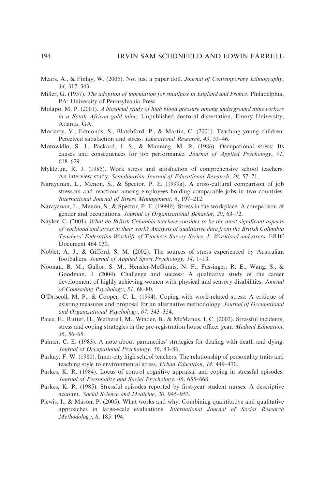- Mears, A., & Finlay, W. (2005). Not just a paper doll. Journal of Contemporary Ethnography, 34, 317–343.
- Miller, G. (1957). The adoption of inoculation for smallpox in England and France. Philadelphia, PA: University of Pennsylvania Press.
- Molapo, M. P. (2001). A biosocial study of high blood pressure among underground mineworkers in a South African gold mine. Unpublished doctoral dissertation. Emory University, Atlanta, GA.
- Moriarty, V., Edmonds, S., Blatchford, P., & Martin, C. (2001). Teaching young children: Perceived satisfaction and stress. Educational Research, 43, 33–46.
- Motowidlo, S. J., Packard, J. S., & Manning, M. R. (1986). Occupational stress: Its causes and consequences for job performance. Journal of Applied Psychology, 71, 618–629.
- Mykletun, R. J. (1985). Work stress and satisfaction of comprehensive school teachers: An interview study. Scandinavian Journal of Educational Research, 29, 57-71.
- Narayanan, L., Menon, S., & Spector, P. E. (1999a). A cross-cultural comparison of job stressors and reactions among employees holding comparable jobs in two countries. International Journal of Stress Management, 6, 197–212.
- Narayanan, L., Menon, S., & Spector, P. E. (1999b). Stress in the workplace: A comparison of gender and occupations. Journal of Organizational Behavior, 20, 63–72.
- Naylor, C. (2001). What do British Columbia teachers consider to be the most significant aspects of workload and stress in their work? Analysis of qualitative data from the British Columbia Teachers' Federation Worklife of Teachers Survey Series, 1: Workload and stress. ERIC Document 464 030.
- Noblet, A. J., & Gifford, S. M. (2002). The sources of stress experienced by Australian footballers. Journal of Applied Sport Psychology, 14, 1–13.
- Noonan, B. M., Gallor, S. M., Hensler-McGinnis, N. F., Fassinger, R. E., Wang, S., & Goodman, J. (2004). Challenge and success: A qualitative study of the career development of highly achieving women with physical and sensory disabilities. Journal of Counseling Psychology, 51, 68–80.
- O'Driscoll, M. P., & Cooper, C. L. (1994). Coping with work-related stress: A critique of existing measures and proposal for an alternative methodology. Journal of Occupational and Organizational Psychology, 67, 343–354.
- Paice, E., Rutter, H., Wetherell, M., Winder, B., & McManus, I. C. (2002). Stressful incidents, stress and coping strategies in the pre-registration house officer year. Medical Education, 36, 56–65.
- Palmer, C. E. (1983). A note about paramedics' strategies for dealing with death and dying. Journal of Occupational Psychology, 56, 83–86.
- Parkay, F. W. (1980). Inner-city high school teachers: The relationship of personality traits and teaching style to environmental stress. Urban Education, 14, 449–470.
- Parkes, K. R. (1984). Locus of control cognitive appraisal and coping in stressful episodes. Journal of Personality and Social Psychology, 46, 655–668.
- Parkes, K. R. (1985). Stressful episodes reported by first-year student nurses: A descriptive account. Social Science and Medicine, 20, 945–953.
- Plewis, I., & Mason, P. (2005). What works and why: Combining quantitative and qualitative approaches in large-scale evaluations. International Journal of Social Research Methodology, 8, 185–194.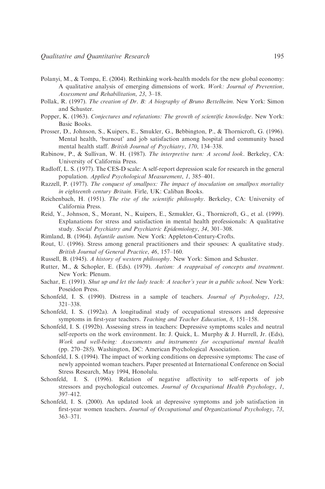- Polanyi, M., & Tompa, E. (2004). Rethinking work-health models for the new global economy: A qualitative analysis of emerging dimensions of work. Work: Journal of Prevention, Assessment and Rehabilitation, 23, 3–18.
- Pollak, R. (1997). The creation of Dr. B: A biography of Bruno Bettelheim. New York: Simon and Schuster.
- Popper, K. (1963). Conjectures and refutations: The growth of scientific knowledge. New York: Basic Books.
- Prosser, D., Johnson, S., Kuipers, E., Smukler, G., Bebbington, P., & Thornicroft, G. (1996). Mental health, 'burnout' and job satisfaction among hospital and community based mental health staff. British Journal of Psychiatry, 170, 134–338.
- Rabinow, P., & Sullivan, W. H. (1987). The interpretive turn: A second look. Berkeley, CA: University of California Press.
- Radloff, L. S. (1977). The CES-D scale: A self-report depression scale for research in the general population. Applied Psychological Measurement, 1, 385–401.
- Razzell, P. (1977). The conquest of smallpox: The impact of inoculation on smallpox mortality in eighteenth century Britain. Firle, UK: Caliban Books.
- Reichenbach, H. (1951). The rise of the scientific philosophy. Berkeley, CA: University of California Press.
- Reid, Y., Johnson, S., Morant, N., Kuipers, E., Szmukler, G., Thornicroft, G., et al. (1999). Explanations for stress and satisfaction in mental health professionals: A qualitative study. Social Psychiatry and Psychiatric Epidemiology, 34, 301–308.
- Rimland, B. (1964). Infantile autism. New York: Appleton-Century-Crofts.
- Rout, U. (1996). Stress among general practitioners and their spouses: A qualitative study. British Journal of General Practice, 46, 157–160.
- Russell, B. (1945). A history of western philosophy. New York: Simon and Schuster.
- Rutter, M., & Schopler, E. (Eds). (1979). Autism: A reappraisal of concepts and treatment. New York: Plenum.
- Sachar, E. (1991). Shut up and let the lady teach: A teacher's year in a public school. New York: Poseidon Press.
- Schonfeld, I. S. (1990). Distress in a sample of teachers. Journal of Psychology, 123, 321–338.
- Schonfeld, I. S. (1992a). A longitudinal study of occupational stressors and depressive symptoms in first-year teachers. Teaching and Teacher Education, 8, 151–158.
- Schonfeld, I. S. (1992b). Assessing stress in teachers: Depressive symptoms scales and neutral self-reports on the work environment. In: J. Quick, L. Murphy & J. Hurrell, Jr. (Eds), Work and well-being: Assessments and instruments for occupational mental health (pp. 270–285). Washington, DC: American Psychological Association.
- Schonfeld, I. S. (1994). The impact of working conditions on depressive symptoms: The case of newly appointed woman teachers. Paper presented at International Conference on Social Stress Research, May 1994, Honolulu.
- Schonfeld, I. S. (1996). Relation of negative affectivity to self-reports of job stressors and psychological outcomes. Journal of Occupational Health Psychology, 1, 397–412.
- Schonfeld, I. S. (2000). An updated look at depressive symptoms and job satisfaction in first-year women teachers. Journal of Occupational and Organizational Psychology, 73, 363–371.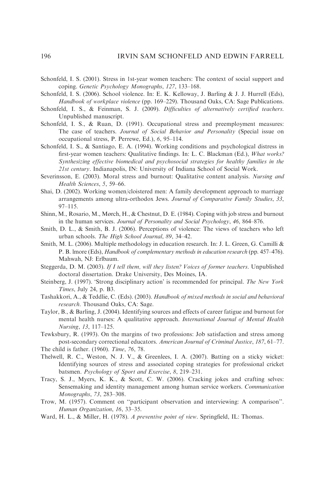- Schonfeld, I. S. (2001). Stress in 1st-year women teachers: The context of social support and coping. Genetic Psychology Monographs, 127, 133–168.
- Schonfeld, I. S. (2006). School violence. In: E. K. Kelloway, J. Barling & J. J. Hurrell (Eds), Handbook of workplace violence (pp. 169–229). Thousand Oaks, CA: Sage Publications.
- Schonfeld, I. S., & Feinman, S. J. (2009). Difficulties of alternatively certified teachers. Unpublished manuscript.
- Schonfeld, I. S., & Ruan, D. (1991). Occupational stress and preemployment measures: The case of teachers. Journal of Social Behavior and Personality (Special issue on occupational stress, P. Perrewe, Ed.), 6, 95–114.
- Schonfeld, I. S., & Santiago, E. A. (1994). Working conditions and psychological distress in first-year women teachers: Qualitative findings. In: L. C. Blackman (Ed.), What works? Synthesizing effective biomedical and psychosocial strategies for healthy families in the 21st century. Indianapolis, IN: University of Indiana School of Social Work.
- Severinsson, E. (2003). Moral stress and burnout: Qualitative content analysis. Nursing and Health Sciences, 5, 59–66.
- Shai, D. (2002). Working women/cloistered men: A family development approach to marriage arrangements among ultra-orthodox Jews. Journal of Comparative Family Studies, 33, 97–115.
- Shinn, M., Rosario, M., Mørch, H., & Chestnut, D. E. (1984). Coping with job stress and burnout in the human services. Journal of Personality and Social Psychology, 46, 864–876.
- Smith, D. L., & Smith, B. J. (2006). Perceptions of violence: The views of teachers who left urban schools. The High School Journal, 89, 34–42.
- Smith, M. L. (2006). Multiple methodology in education research. In: J. L. Green, G. Camilli & P. B. lmore (Eds), Handbook of complementary methods in education research (pp. 457-476). Mahwah, NJ: Erlbaum.
- Steggerda, D. M. (2003). If I tell them, will they listen? Voices of former teachers. Unpublished doctoral dissertation. Drake University, Des Moines, IA.
- Steinberg, J. (1997). 'Strong disciplinary action' is recommended for principal. The New York Times, July 24, p. B3.
- Tashakkori, A., & Teddlie, C. (Eds). (2003). Handbook of mixed methods in social and behavioral research. Thousand Oaks, CA: Sage.
- Taylor, B., & Barling, J. (2004). Identifying sources and effects of career fatigue and burnout for mental health nurses: A qualitative approach. *International Journal of Mental Health* Nursing, 13, 117–125.
- Tewksbury, R. (1993). On the margins of two professions: Job satisfaction and stress among post-secondary correctional educators. American Journal of Criminal Justice, 187, 61–77.
- The child is father. (1960). Time, 76, 78.
- Thelwell, R. C., Weston, N. J. V., & Greenlees, I. A. (2007). Batting on a sticky wicket: Identifying sources of stress and associated coping strategies for professional cricket batsmen. Psychology of Sport and Exercise, 8, 219–231.
- Tracy, S. J., Myers, K. K., & Scott, C. W. (2006). Cracking jokes and crafting selves: Sensemaking and identity management among human service workers. Communication Monographs, 73, 283–308.
- Trow, M. (1957). Comment on ''participant observation and interviewing: A comparison''. Human Organization, 16, 33–35.
- Ward, H. L., & Miller, H. (1978). A preventive point of view. Springfield, IL: Thomas.